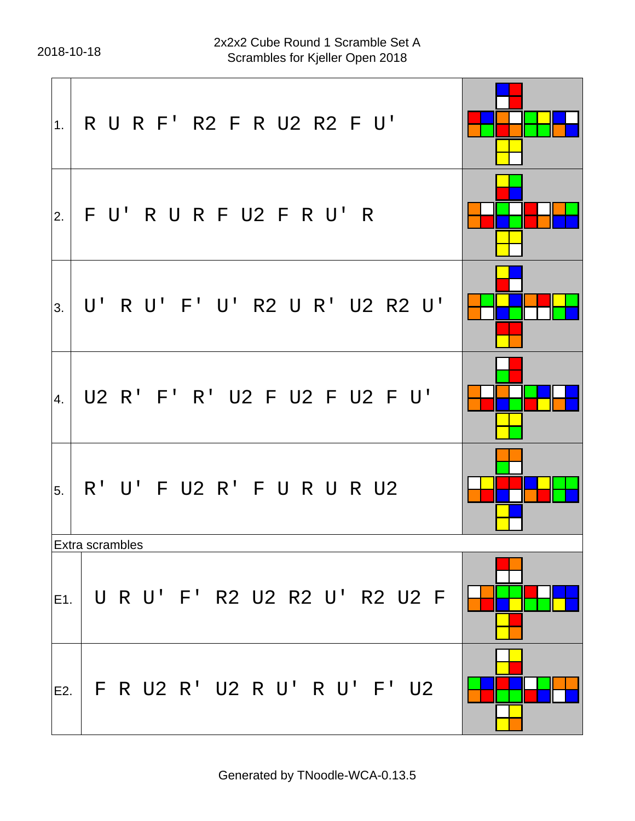$\mathbf{r}$ 

| 1.     | R U R F' R2 F R U2 R2 F U'     |  |
|--------|--------------------------------|--|
| 2.     | FU'RURFU2 FRU'R                |  |
| 3.     | U' R U' F' U' R2 U R' U2 R2 U' |  |
| 4.     | U2 R' F' R' U2 F U2 F U2 F U'  |  |
| 5.     | R' U' F U2 R' F U R U R U2     |  |
|        | Extra scrambles                |  |
| IE1. I | U R U' F' R2 U2 R2 U' R2 U2 F  |  |
| E2. I  | F R U2 R' U2 R U' R U' F' U2   |  |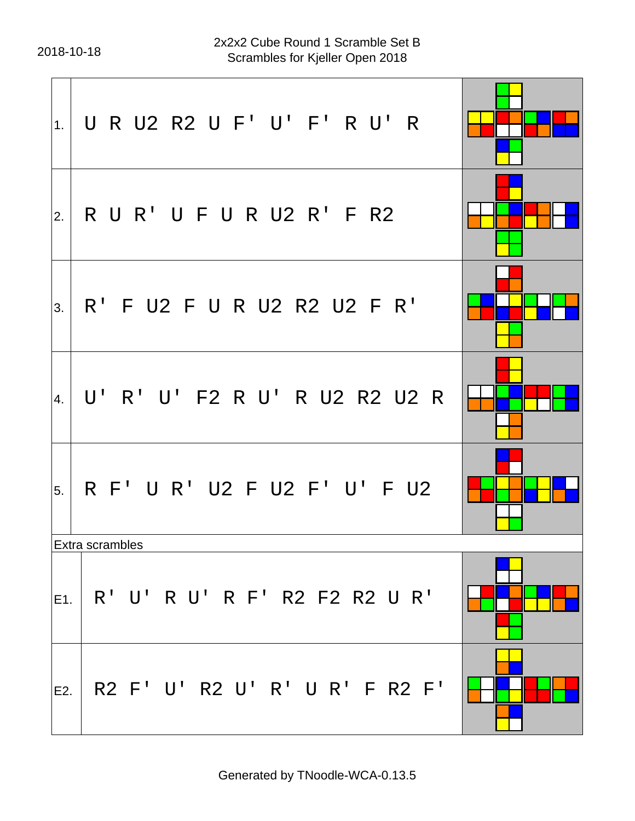| 1.  | U R U2 R2 U F' U' F' R U' R    |  |
|-----|--------------------------------|--|
| 2.  | R U R' U F U R U2 R' F R2      |  |
| 3.  | R' F U2 F U R U2 R2 U2 F R'    |  |
| 4.  | U' R' U' F2 R U' R U2 R2 U2 R  |  |
| 5.  | R F' U R' U2 F U2 F' U' F U2   |  |
|     | Extra scrambles                |  |
| E1. | R' U' R U' R F' R2 F2 R2 U R'  |  |
| E2. | R2 F' U' R2 U' R' U R' F R2 F' |  |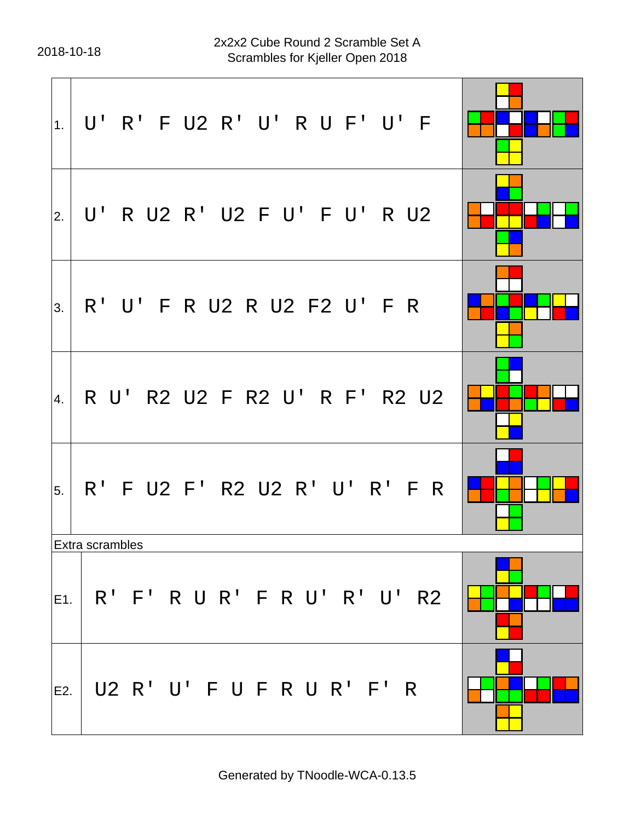| 1.              | U' R' F U2 R' U' R U F' U' F     |  |
|-----------------|----------------------------------|--|
| 2.              | U' R U2 R' U2 F U' F U' R U2     |  |
| 3.              | R' U' F R U2 R U2 F2 U' F R      |  |
| $\vert 4 \vert$ | R U' R2 U2 F R2 U' R F' R2 U2    |  |
| 5.              | R' F U2 F' R2 U2 R' U' R' F R    |  |
|                 | Extra scrambles                  |  |
|                 | E1. R' F' R U R' F R U' R' U' R2 |  |
| E2.             | U2 R' U' F U F R U R' F' R       |  |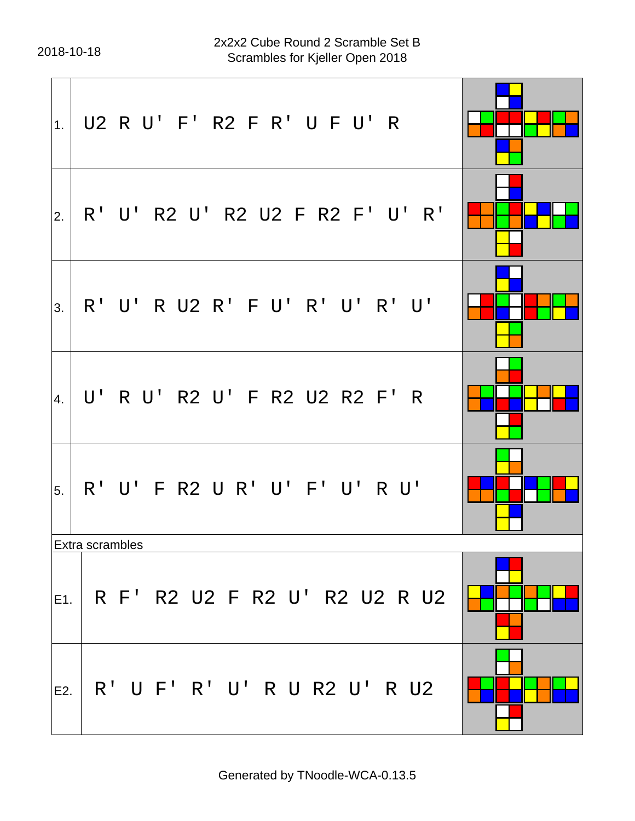$\mathbf{r}$ 

| 1.    | U2 R U' F' R2 F R' U F U' R       |  |
|-------|-----------------------------------|--|
| 2.    | R' U' R2 U' R2 U2 F R2 F' U' R'   |  |
| 3.    | R' U' R U2 R' F U' R' U' R' U'    |  |
| 4.    | U' R U' R2 U' F R2 U2 R2 F' R     |  |
| 5.    | R' U' F R2 U R' U' F' U' R U'     |  |
|       | Extra scrambles                   |  |
|       | E1. R F' R2 U2 F R2 U' R2 U2 R U2 |  |
| E2. I | R' U F' R' U' R U R2 U' R U2      |  |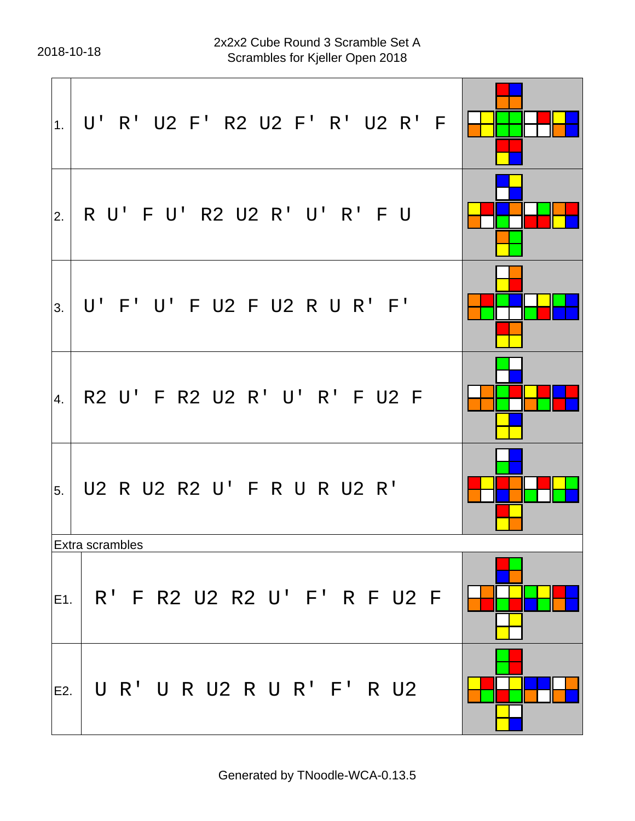| 1.    | U' R' U2 F' R2 U2 F' R' U2 R' F  |  |
|-------|----------------------------------|--|
| 2.    | R U' F U' R2 U2 R' U' R' F U     |  |
| 3.    | U' F' U' F U2 F U2 R U R' F'     |  |
| 4.    | R2 U' F R2 U2 R' U' R' F U2 F    |  |
| 5.    | U2 R U2 R2 U' F R U R U2 R'      |  |
|       | Extra scrambles                  |  |
|       | E1. R' F R2 U2 R2 U' F' R F U2 F |  |
| E2. I | U R' U R U2 R U R' F' R U2       |  |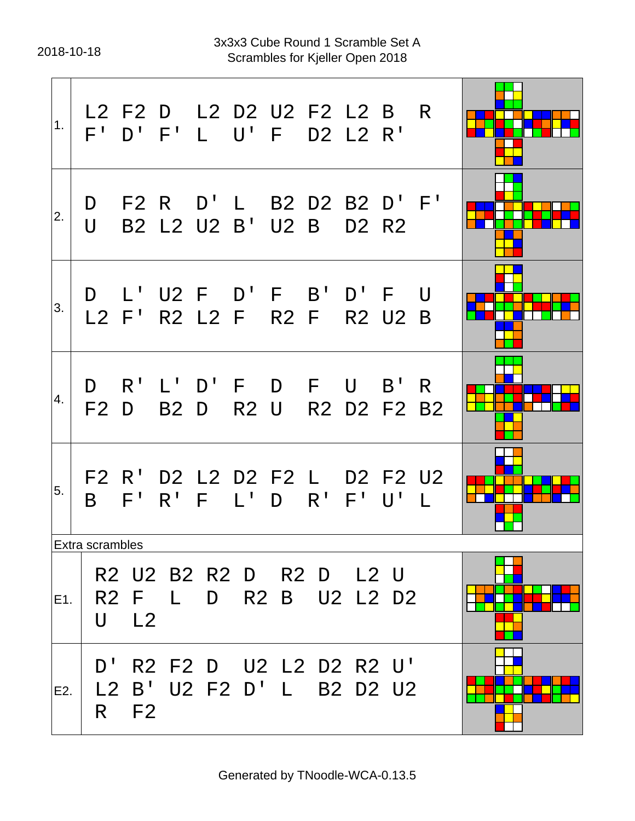| 1.  |                        |                         |                | L2 F2 D L2 D2 U2 F2 L2 B R<br>F' D' F' L U' F D2 L2 R'  |  |                  |                               |  |
|-----|------------------------|-------------------------|----------------|---------------------------------------------------------|--|------------------|-------------------------------|--|
| 2.  | D<br>$\bigcup$         |                         |                | F2 R D'L B2 D2 B2 D'F'<br>B2 L2 U2 B' U2 B              |  |                  | D <sub>2</sub> R <sub>2</sub> |  |
| 3.  |                        |                         |                | D L'U2 F D'F B'D'F U<br>L2 F' R2 L2 F R2 F R2 U2 B      |  |                  |                               |  |
| 4.  | D                      | $R^1$                   |                | L'D'F D F U B'R<br>F2 D B2 D                            |  | R2 U R2 D2 F2 B2 |                               |  |
| 5.  | B —                    |                         |                | F2 R' D2 L2 D2 F2 L D2 F2 U2<br>F' R' F L' D R' F' U' L |  |                  |                               |  |
|     | <b>Extra scrambles</b> |                         |                |                                                         |  |                  |                               |  |
| E1. | U                      | R2 F<br>L <sub>2</sub>  | $\mathbb{R}^n$ | R2 U2 B2 R2 D R2 D L2 U                                 |  | D R2 B U2 L2 D2  |                               |  |
| E2. | D'<br>$\mathsf{R}^-$   | L2 B'<br>F <sub>2</sub> |                | R2 F2 D U2 L2 D2 R2 U'<br>U2 F2 D' L B2 D2 U2           |  |                  |                               |  |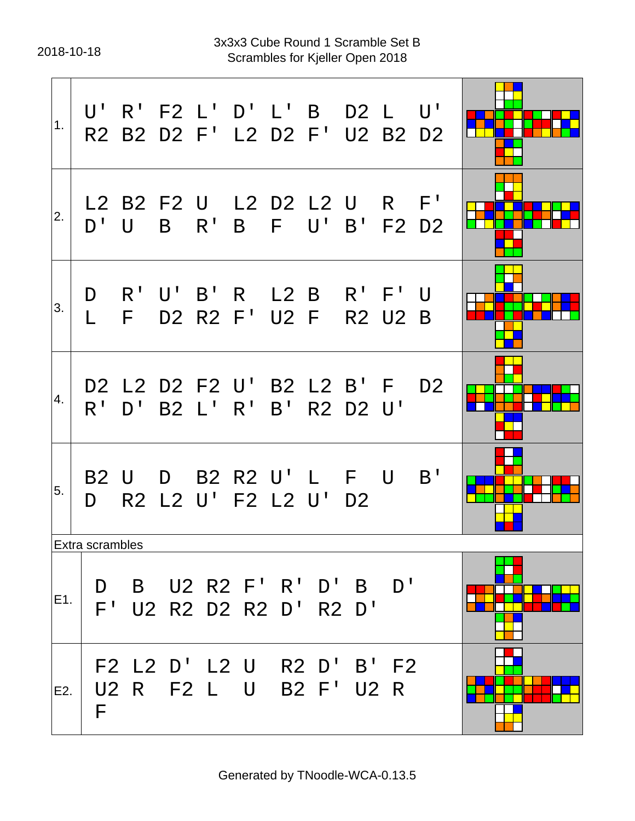2018-10-18 Scrambles for Kjeller Open 2018 3x3x3 Cube Round 1 Scramble Set B

| 1.  |                   |   | R2 B2 D2 F' L2 D2 F' U2 B2 D2                           |                      |                           |                | U'             |  |
|-----|-------------------|---|---------------------------------------------------------|----------------------|---------------------------|----------------|----------------|--|
| 2.  | $D^{\perp}$       | U | L2 B2 F2 U L2 D2 L2 U R F'                              | B R' B F U' B' F2 D2 |                           |                |                |  |
| 3.  | D<br>$\mathbf{L}$ |   | $R'$ U' B' R L2 B $R'$ F'<br>F D2 R2 F' U2 F            |                      |                           | <b>R2 U2 B</b> | U              |  |
| 4.  |                   |   | D2 L2 D2 F2 U' B2 L2 B' F<br>R' D' B2 L' R' B' R2 D2 U' |                      |                           |                | D <sub>2</sub> |  |
| 5.  | D                 |   | B2 U D B2 R2 U'L F U<br>R2 L2 U' F2 L2 U' D2            |                      |                           |                | B'             |  |
|     | Extra scrambles   |   |                                                         |                      |                           |                |                |  |
| E1. | D.<br>$F^{\perp}$ |   | B U2 R2 F' R' D' B D'<br>U2 R2 D2 R2 D'                 |                      |                           | <b>R2 D'</b>   |                |  |
| E2. | F                 |   | F2 L2 D' L2 U<br>U2 R F2 L U                            |                      | R2 D' B' F2<br>B2 F' U2 R |                |                |  |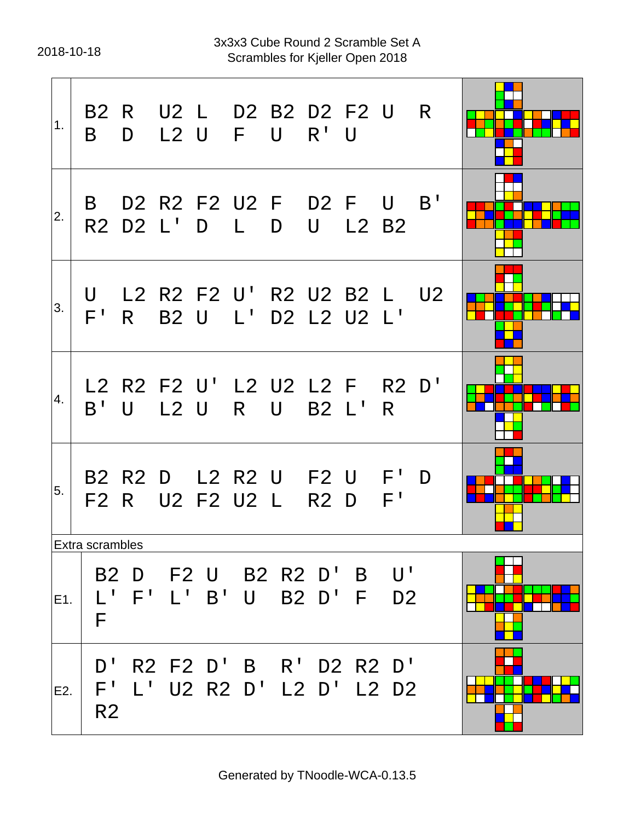2018-10-18 Scrambles for Kjeller Open 2018 3x3x3 Cube Round 2 Scramble Set A

| 1.  | B —                                 | D           | B2 R U2 L D2 B2 D2 F2 U R                    |         |             |   | L2 U F U R'U        |       |                        |  |
|-----|-------------------------------------|-------------|----------------------------------------------|---------|-------------|---|---------------------|-------|------------------------|--|
| 2.  |                                     |             | B D2 R2 F2 U2 F D2 F U B'<br>R2 D2 L' D L    |         |             | D | $\bigcup$           | L2 B2 |                        |  |
| 3.  | U                                   | F' R        | L2 R2 F2 U' R2 U2 B2 L U2                    |         |             |   | B2 U L' D2 L2 U2 L' |       |                        |  |
| 4.  | $B'$ U                              |             | L2 R2 F2 U' L2 U2 L2 F R2 D'                 |         |             |   | L2 U R U B2 L'      |       | R.                     |  |
| 5.  |                                     |             | B2 R2 D L2 R2 U F2 U F' D<br>F2 R U2 F2 U2 L |         |             |   | R <sub>2</sub> D    |       | F'                     |  |
|     | <b>Extra scrambles</b>              |             |                                              |         |             |   |                     |       |                        |  |
| E1. | $\mathsf{L}^{\mathsf{T}}$<br>F      | $F^{\perp}$ | B2 D F2 U B2 R2 D'                           | $L'$ B' | $\mathsf U$ |   | B2 D' F             |       | B U'<br>D <sub>2</sub> |  |
| E2. | D'<br>$F^{\perp}$<br>R <sub>2</sub> |             | R2 F2 D'<br>L' U2 R2 D' L2 D'                |         | $\mathsf B$ |   | R' D2 R2 D'         |       | L2 D2                  |  |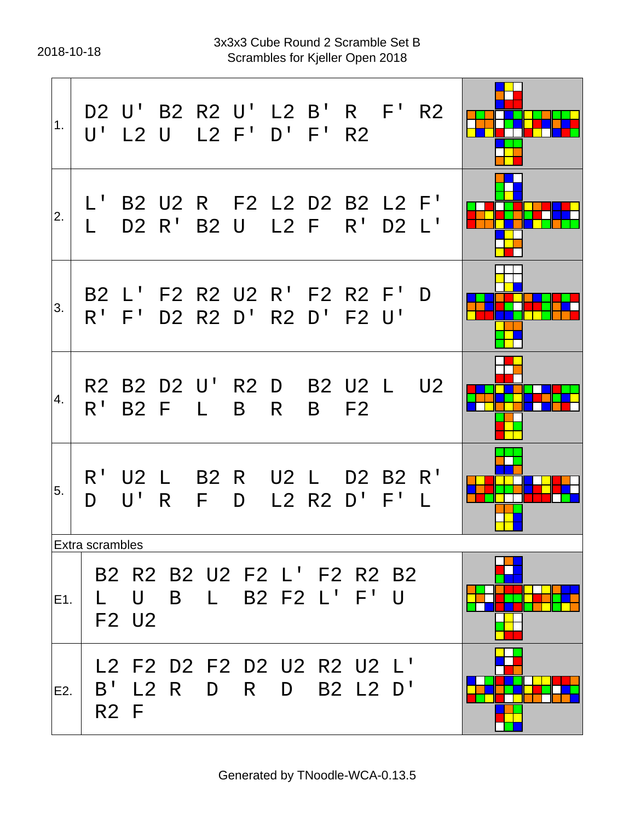2018-10-18 Scrambles for Kjeller Open 2018 3x3x3 Cube Round 2 Scramble Set B

| 1.  |                 |                  | D2 U' B2 R2 U' L2 B' R F' R2<br>U' L2 U L2 F' D' F' R2     |         |   |        |               |                         |                |  |
|-----|-----------------|------------------|------------------------------------------------------------|---------|---|--------|---------------|-------------------------|----------------|--|
| 2.  |                 |                  | L' B2 U2 R F2 L2 D2 B2 L2 F'<br>D2 R' B2 U                 |         |   |        | L2 F R' D2 L' |                         |                |  |
| 3.  |                 |                  | B2 L' F2 R2 U2 R' F2 R2 F' D<br>R' F' D2 R2 D' R2 D' F2 U' |         |   |        |               |                         |                |  |
| 4.  | $R^+$           | <b>B2 F</b>      | R2 B2 D2 U' R2 D B2 U2 L U2                                | $\perp$ | B | R.     |               | <b>B</b> F <sub>2</sub> |                |  |
| 5.  | D.              | $U'$ R           | R' U2 L B2 R U2 L D2 B2 R'                                 | F D     |   |        | $L2$ R2 D' F' |                         | $\blacksquare$ |  |
|     | Extra scrambles |                  |                                                            |         |   |        |               |                         |                |  |
| E1. |                 | U<br>F2 U2       | B2 R2 B2 U2 F2 L' F2 R2 B2                                 | B L     |   |        | B2 F2 L' F' U |                         |                |  |
| E2. | $B^{\perp}$     | R <sub>2</sub> F | L2 F2 D2 F2 D2 U2 R2 U2 L'<br>L2 R                         | D       | R | $\Box$ |               | B2 L2 D'                |                |  |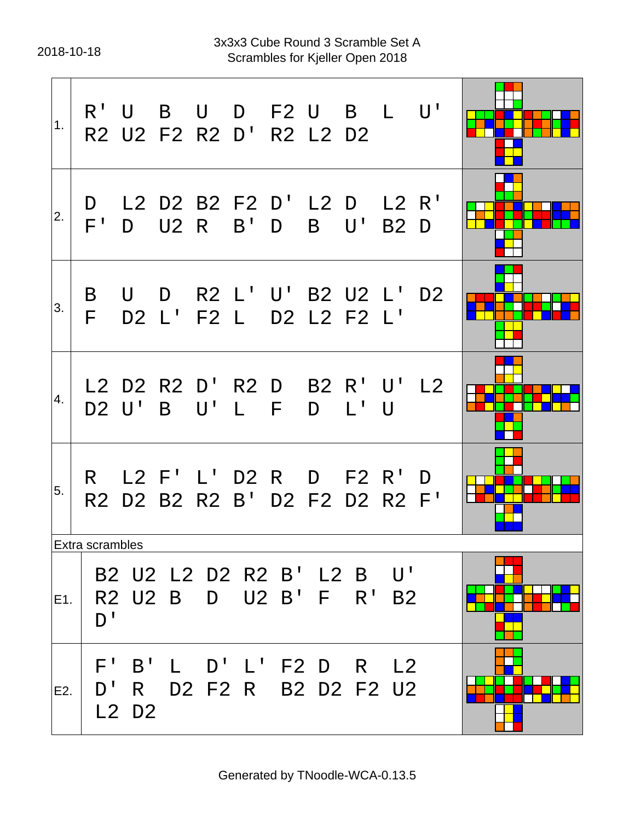2018-10-18 Scrambles for Kjeller Open 2018 3x3x3 Cube Round 3 Scramble Set A

| 1.  |                 | R'U B             |              | U D F2 U B L U'<br>R2 U2 F2 R2 D' R2 L2 D2                 |                           |       |                     |              |                                       |  |
|-----|-----------------|-------------------|--------------|------------------------------------------------------------|---------------------------|-------|---------------------|--------------|---------------------------------------|--|
| 2.  | $F^+$           |                   |              | D L2 D2 B2 F2 D' L2 D L2 R'<br>D U2 R B' D                 |                           |       |                     |              | B U' B2 D                             |  |
| 3.  | B<br>F          | U                 |              | D R2 L' U' B2 U2 L' D2<br>D2 L' F2 L D2 L2 F2 L'           |                           |       |                     |              |                                       |  |
| 4.  |                 |                   |              | L2 D2 R2 D' R2 D B2 R' U' L2<br>D2 U'B U'L F               |                           |       |                     | D L' U       |                                       |  |
| 5.  |                 |                   |              | R L2 F' L' D2 R D F2 R' D<br>R2 D2 B2 R2 B' D2 F2 D2 R2 F' |                           |       |                     |              |                                       |  |
|     | Extra scrambles |                   |              |                                                            |                           |       |                     |              |                                       |  |
| E1. | D'              |                   | R2 U2 B      | B2 U2 L2 D2 R2 B' L2 B<br>D.                               |                           | U2 B' | E                   | $R^{\prime}$ | $\mathsf{U}^{\, \prime}$<br><b>B2</b> |  |
| E2. | F'<br>D'        | B'<br>R.<br>L2 D2 | $\mathsf{L}$ | D'<br>D2 F2 R                                              | $\mathsf{L}^{\mathsf{T}}$ |       | F2 D<br>B2 D2 F2 U2 | R)           | L <sub>2</sub>                        |  |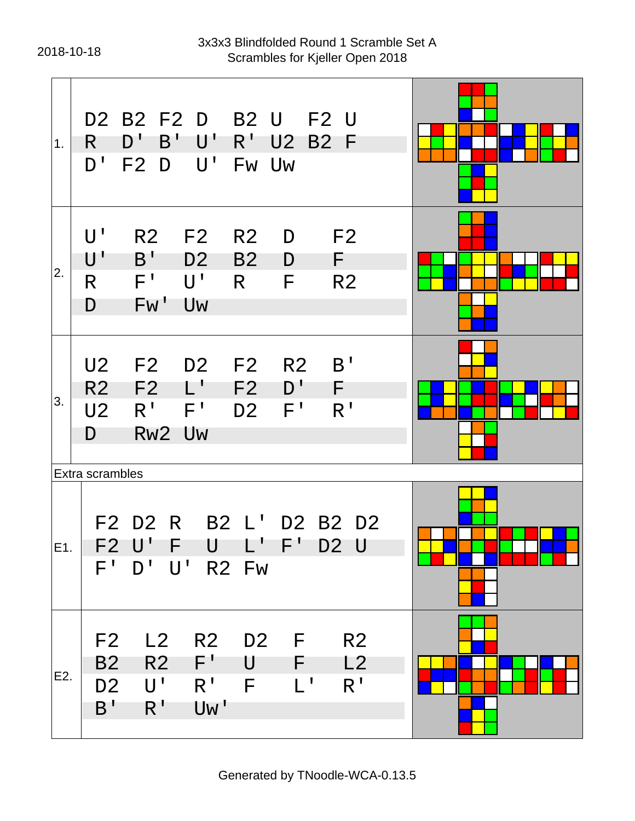| 1.  | D2 B2 F2 D<br><b>B2 U</b><br><b>F2 U</b><br>$R^+$<br>D'<br>B'<br>้ U '<br>U2<br><b>B2</b><br>-F<br>R.<br>$D^{\perp}$<br>$\mathsf{U}^{\perp}$<br>F <sub>2</sub><br>D<br>Fw Uw                                                       |  |
|-----|------------------------------------------------------------------------------------------------------------------------------------------------------------------------------------------------------------------------------------|--|
| 2.  | $\mathsf{U}^{\, \prime}$<br>F <sub>2</sub><br>R <sub>2</sub><br>F2<br>R <sub>2</sub><br>D<br>B'<br>U'<br>D <sub>2</sub><br><b>B2</b><br>D<br>F.<br>$F^{\prime}$<br>$U^{\perp}$<br>R.<br>F<br>R <sub>2</sub><br>R<br>Fw'<br>Uw<br>D |  |
| 3.  | B'<br>U <sub>2</sub><br>F2<br>D <sub>2</sub><br>F2<br>R <sub>2</sub><br>╶┖╻<br>D'<br>F2<br>F2<br>F<br>R <sub>2</sub><br>R <sup>T</sup><br>$F^{\perp}$<br>F'<br>R'<br>U <sub>2</sub><br>D <sub>2</sub><br>Rw2 Uw<br>D               |  |
| E1. | Extra scrambles<br>B2 L' D2 B2 D2<br>F2 D2 R<br>F2 U' F<br>U L'F'D2U<br>$D'$ $U'$<br>$F^+$<br>R <sub>2</sub> Fw                                                                                                                    |  |
| E2. | L2<br>R2<br>D <sub>2</sub> F<br>F <sub>2</sub><br>R <sub>2</sub><br>$F^+$<br><b>B2</b><br>R <sub>2</sub><br>U<br>$F =$<br>L2<br>$L^1$<br>R <sup>T</sup><br>U'<br>$R^1$<br>F<br>D <sub>2</sub><br>R <sup>T</sup><br>Uw'<br>B'       |  |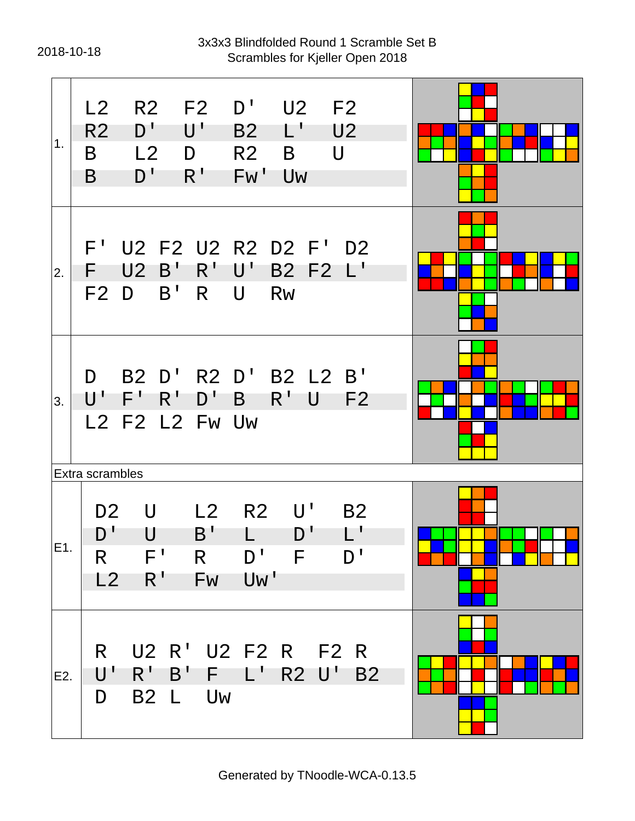#### 2018-10-18 Scrambles for Kjeller Open 2018 3x3x3 Blindfolded Round 1 Scramble Set B

| 1.  | L2<br>D'<br>R <sub>2</sub><br>L <sub>2</sub><br>B<br>D'<br>B                                 | R2 F2<br>$\mathsf{U}^{\, \prime}$<br>D<br>$R^{\prime}$ | D'<br>U2 F2<br>$\mathsf{L}^{\mathsf{T}}$<br>U <sub>2</sub><br><b>B2</b><br>$\bigcup$<br>R <sub>2</sub><br>B<br>Fw'<br><b>Uw</b> |  |
|-----|----------------------------------------------------------------------------------------------|--------------------------------------------------------|---------------------------------------------------------------------------------------------------------------------------------|--|
| 2.  | $F^+$<br>U <sub>2</sub><br>$B^{\dagger}$<br>F<br>B'<br>F2D                                   | $R^{\prime}$<br>R                                      | U2 F2 U2 R2 D2 F' D2<br>$\mathsf{U}^{\mathsf{T}}$<br>B2 F2 L'<br>$\mathsf{U}$<br><b>Rw</b>                                      |  |
| 3.  | D.<br>$R^{\prime}$<br>F'<br>U'<br>L2 F2 L2 Fw Uw                                             | D'                                                     | B2 D' R2 D' B2 L2 B'<br>$R^{\prime}$<br>$\mathsf B$<br>U<br>F <sub>2</sub>                                                      |  |
| E1. | Extra scrambles<br>D <sub>2</sub><br>U<br>D'<br>U<br>$F^{\prime}$<br>R<br>$R^{\prime}$<br>L2 | L2<br>$B^{\perp}$<br>R<br><b>Fw</b>                    | $\mathsf{U}^{\mathsf{T}}$<br>R <sub>2</sub><br><b>B2</b><br>D'<br>D' F<br>D'<br>Uw'                                             |  |
| E2. | R.<br>U<br>$R^{\prime}$<br>D<br>B2 L                                                         | F<br>B'<br>Uw                                          | U2 R' U2 F2 R F2 R<br><b>R2 U'</b><br>$\mathsf{L}^{\mathsf{T}}$<br><b>B2</b>                                                    |  |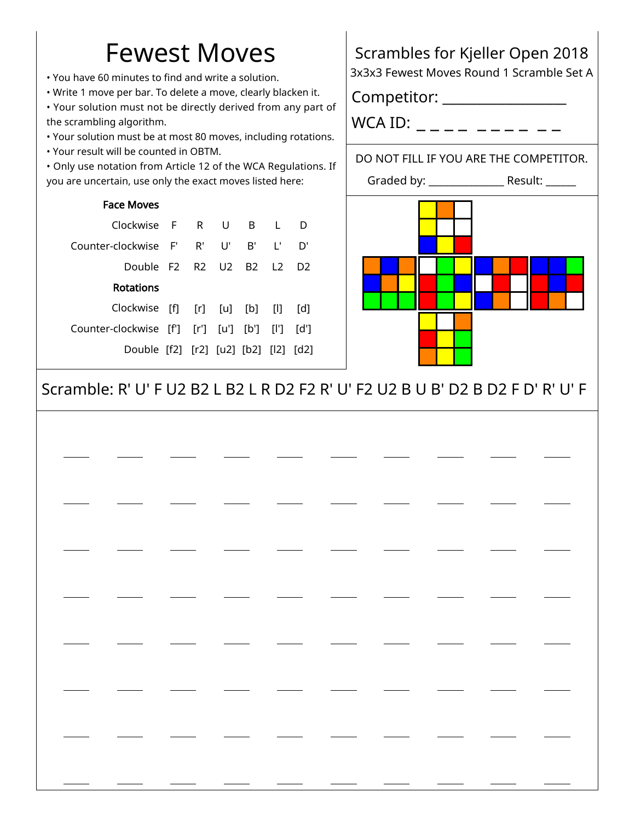# Fewest Moves

• You have 60 minutes to find and write a solution.

• Write 1 move per bar. To delete a move, clearly blacken it.

• Your solution must not be directly derived from any part of the scrambling algorithm.

- Your solution must be at most 80 moves, including rotations.
- Your result will be counted in OBTM.

• Only use notation from Article 12 of the WCA Regulations. If you are uncertain, use only the exact moves listed here:

#### Face Moves

| Clockwise F R U B L                             |  |    |      |    |
|-------------------------------------------------|--|----|------|----|
| Counter-clockwise F' R' U'                      |  | B' | - L' | D' |
| Double F2 R2 U2 B2 L2 D2                        |  |    |      |    |
| Rotations                                       |  |    |      |    |
| Clockwise $[f]$ $[r]$ $[u]$ $[b]$ $[l]$ $[d]$   |  |    |      |    |
| Counter-clockwise [f'] [r'] [u'] [b'] [l'] [d'] |  |    |      |    |
| Double [f2] [r2] [u2] [b2] [l2] [d2]            |  |    |      |    |
|                                                 |  |    |      |    |

## Scrambles for Kjeller Open 2018

3x3x3 Fewest Moves Round 1 Scramble Set A

Competitor: \_\_\_\_\_\_\_\_\_\_\_\_\_\_\_\_\_\_

WCA ID:  $\frac{1}{2}$   $\frac{1}{2}$   $\frac{1}{2}$   $\frac{1}{2}$   $\frac{1}{2}$   $\frac{1}{2}$   $\frac{1}{2}$   $\frac{1}{2}$   $\frac{1}{2}$   $\frac{1}{2}$   $\frac{1}{2}$   $\frac{1}{2}$   $\frac{1}{2}$   $\frac{1}{2}$   $\frac{1}{2}$   $\frac{1}{2}$   $\frac{1}{2}$   $\frac{1}{2}$   $\frac{1}{2}$   $\frac{1}{2}$   $\frac{1}{2}$   $\frac$ 

### DO NOT FILL IF YOU ARE THE COMPETITOR.



### Scramble: R' U' F U2 B2 L B2 L R D2 F2 R' U' F2 U2 B U B' D2 B D2 F D' R' U' F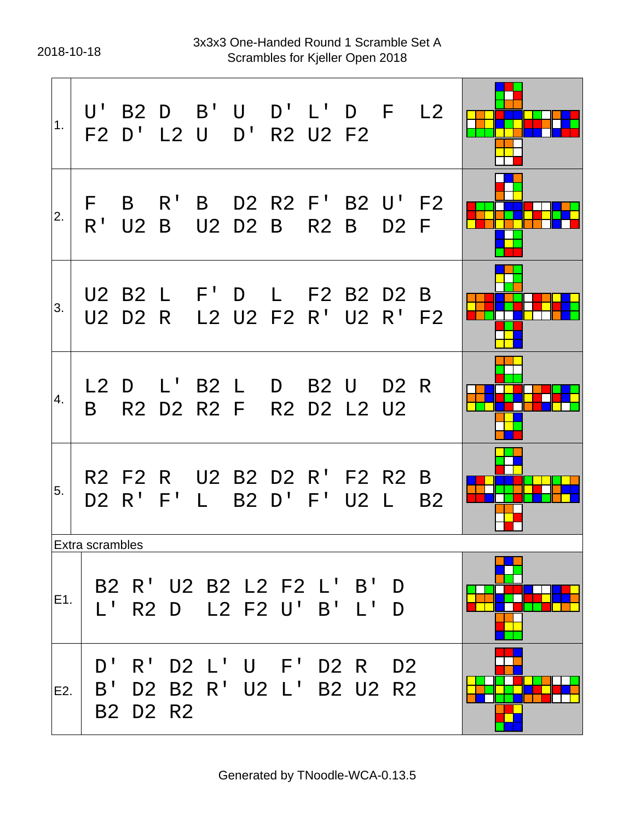2018-10-18 Scrambles for Kjeller Open 2018 3x3x3 One-Handed Round 1 Scramble Set A

| 1.  |                                            |                |          |                              | U' B2 D B' U D' L' D F L2<br>F2 D' L2 U D' R2 U2 F2       |                         |                |           |  |
|-----|--------------------------------------------|----------------|----------|------------------------------|-----------------------------------------------------------|-------------------------|----------------|-----------|--|
| 2.  |                                            | F B<br>$R'$ U2 |          |                              | $R'$ B D2 R2 F' B2 U' F2<br>B U2 D2 B R2 B D2 F           |                         |                |           |  |
| 3.  |                                            |                |          |                              | U2 B2 L F' D L F2 B2 D2 B<br>U2 D2 R L2 U2 F2 R' U2 R' F2 |                         |                |           |  |
| 4.  |                                            |                |          |                              | L2 D L' B2 L D B2 U D2 R<br>B R2 D2 R2 F R2 D2 L2 U2      |                         |                |           |  |
| 5.  |                                            | D2 R' F'       |          |                              | R2 F2 R U2 B2 D2 R' F2 R2 B<br>L B2 D' F' U2 L            |                         |                | <b>B2</b> |  |
| E1. | <b>Extra scrambles</b><br>$L^{\mathsf{T}}$ |                |          |                              | B2 R' U2 B2 L2 F2 L' B'<br>R2 D L2 F2 U' B' L'            |                         | D<br>D         |           |  |
| E2. | D'<br>B'                                   | $R^{\perp}$    | B2 D2 R2 | D2 L' U F'<br>D2 B2 R' U2 L' |                                                           | D2 R<br><b>B2 U2 R2</b> | D <sub>2</sub> |           |  |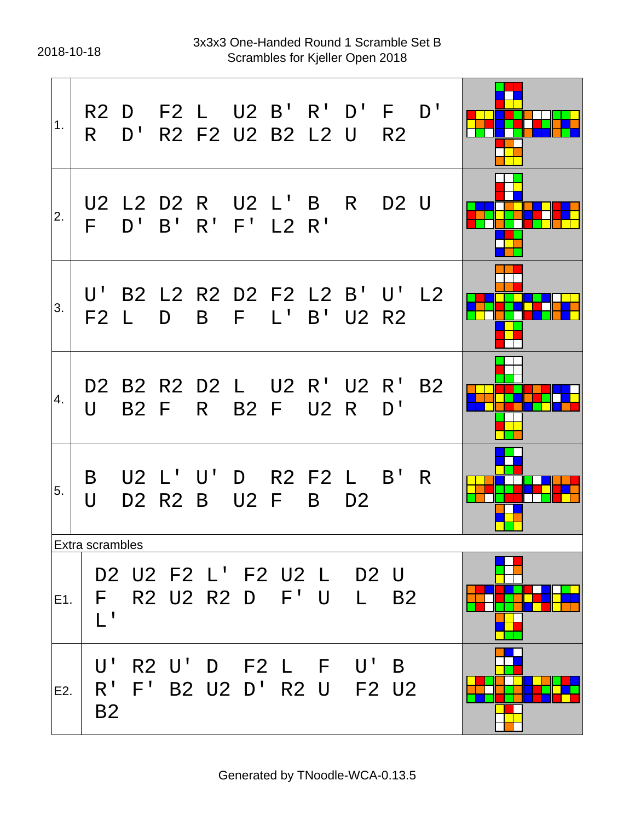2018-10-18 Scrambles for Kjeller Open 2018 3x3x3 One-Handed Round 1 Scramble Set B

| 1.  | R —                               |              |              | R2 D F2 L U2 B' R' D' F<br>D' R2 F2 U2 B2 L2 U |             |             |   |                | <b>R2</b> | D'        |  |
|-----|-----------------------------------|--------------|--------------|------------------------------------------------|-------------|-------------|---|----------------|-----------|-----------|--|
| 2.  | F.                                | $D^{\prime}$ | $B^{\prime}$ | U2 L2 D2 R U2 L' B R D2 U<br>$R'$ F' L2 $R'$   |             |             |   |                |           |           |  |
| 3.  | F2 L                              |              | D            | U' B2 L2 R2 D2 F2 L2 B' U' L2                  | B F L'      |             |   | B' U2 R2       |           |           |  |
| 4.  | U                                 |              | B2 F         | D2 B2 R2 D2 L U2 R' U2 R'                      | R B2 F U2 R |             |   |                | D'        | <b>B2</b> |  |
| 5.  | B<br>$\overline{\mathsf{U}}$      |              |              | U2 L' U' D R2 F2 L B' R<br>D2 R2 B             |             | <b>U2 F</b> | B | D <sub>2</sub> |           |           |  |
|     | Extra scrambles                   |              |              |                                                |             |             |   |                |           |           |  |
| E1. | F.<br>$\mathbf{I}^{-1}$           |              |              | D2 U2 F2 L' F2 U2 L D2 U<br>R2 U2 R2 D F'U L   |             |             |   |                | <b>B2</b> |           |  |
| E2. | U'<br>R <sup>T</sup><br><b>B2</b> |              |              | R2 U'D F2 L F U'B<br>F' B2 U2 D' R2 U F2 U2    |             |             |   |                |           |           |  |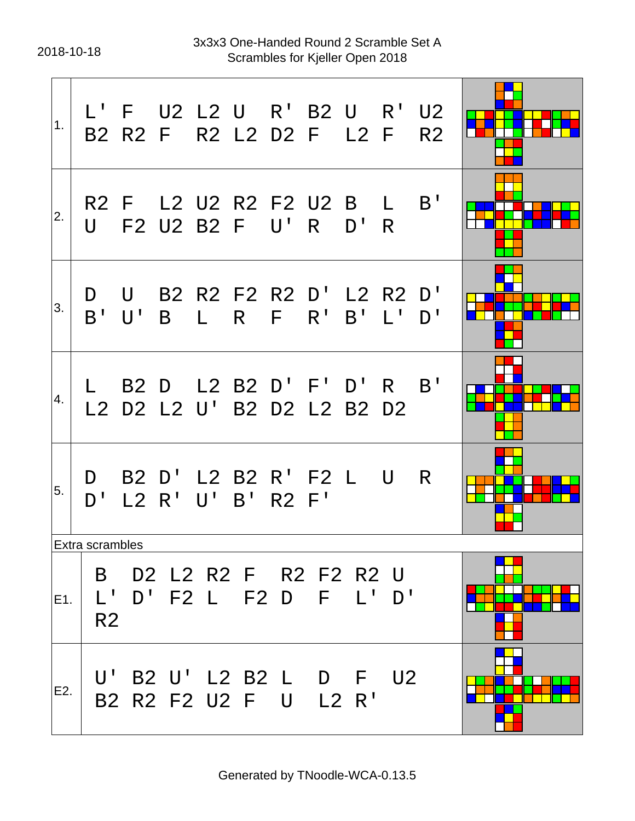2018-10-18 Scrambles for Kjeller Open 2018 3x3x3 One-Handed Round 2 Scramble Set A

| 1.  |                     |                   |  | L' F U2 L2 U R' B2 U R' U2<br>B2 R2 F R2 L2 D2 F L2 F |      |                           | R <sub>2</sub> |  |
|-----|---------------------|-------------------|--|-------------------------------------------------------|------|---------------------------|----------------|--|
| 2.  | U                   |                   |  | R2 F L2 U2 R2 F2 U2 B L<br>F2 U2 B2 F U'R             | D' R |                           | B'             |  |
| 3.  | D<br>$B'$ $U'$      | B                 |  | U B2 R2 F2 R2 D' L2 R2 D'<br>$L$ R F R' B'            |      | $\mathsf{L}^{\mathsf{T}}$ | D <sup>T</sup> |  |
| 4.  |                     |                   |  | B2 D L2 B2 D' F' D' R<br>L2 D2 L2 U' B2 D2 L2 B2 D2   |      |                           | B'             |  |
| 5.  | $D^{\perp}$         | L2 R' U' B' R2 F' |  | D B2 D' L2 B2 R' F2 L U                               |      |                           | R              |  |
|     | Extra scrambles     |                   |  |                                                       |      |                           |                |  |
| E1. | B<br>R <sub>2</sub> |                   |  | D2 L2 R2 F R2 F2 R2 U<br>$L'$ D'F2 L F2 D F L'D'      |      |                           |                |  |
| E2. |                     |                   |  | U' B2 U' L2 B2 L D F U2<br>B2 R2 F2 U2 F U L2 R'      |      |                           |                |  |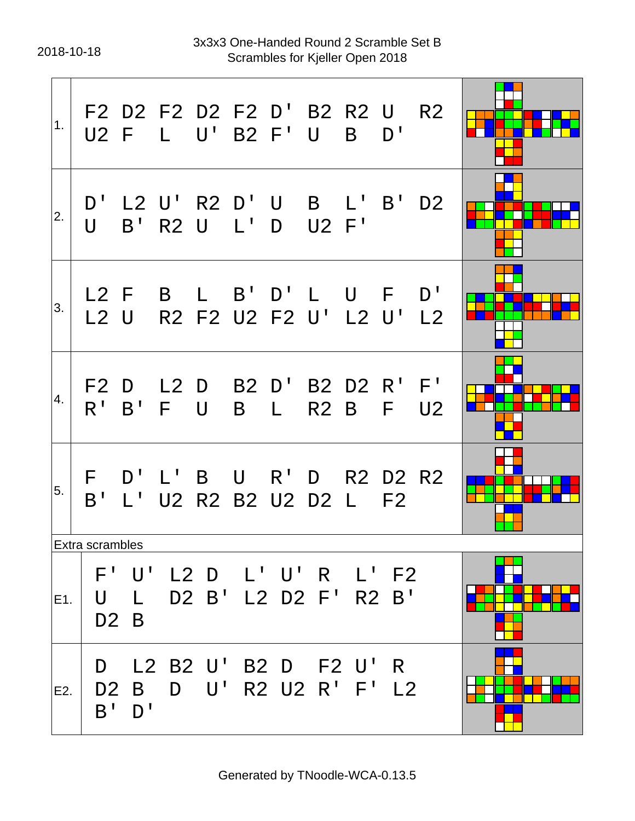2018-10-18 Scrambles for Kjeller Open 2018 3x3x3 One-Handed Round 2 Scramble Set B

| 1.  |                           |                                  | F2 D2 F2 D2 F2 D' B2 R2 U<br>U2 F L U' B2 F' U B D' |       |     |              |                                |                      | R <sub>2</sub> |  |
|-----|---------------------------|----------------------------------|-----------------------------------------------------|-------|-----|--------------|--------------------------------|----------------------|----------------|--|
| 2.  |                           |                                  | D' L2 U' R2 D' U B L' B'<br>U B' R2 U L' D U2 F'    |       |     |              |                                |                      | D <sub>2</sub> |  |
| 3.  | $L2$ U                    |                                  | L2 F B L B' D' L U F D'                             |       |     |              | R2 F2 U2 F2 U' L2 U' L2        |                      |                |  |
| 4.  |                           |                                  | F2 D L2 D B2 D' B2 D2 R' F'<br>R' B' F U            |       | B — | $\mathbb{L}$ |                                | R2 B F               | U <sub>2</sub> |  |
| 5.  |                           |                                  | F D'L'B U R'D R2 D2 R2<br>B' L' U2 R2 B2 U2 D2 L F2 |       |     |              |                                |                      |                |  |
|     | <b>Extra scrambles</b>    |                                  |                                                     |       |     |              |                                |                      |                |  |
| E1. | U                         | $\mathsf{L}$<br>D <sub>2</sub> B | F' U' L2 D L' U' R L' F2                            |       |     |              | D2 B' L2 D2 F'                 | R2 B'                |                |  |
| E2. | D<br>D <sub>2</sub><br>B' | L2<br>B<br>D'                    | D                                                   | B2 U' |     |              | B2 D F2 U'<br>$U'$ R2 U2 R' F' | R.<br>L <sub>2</sub> |                |  |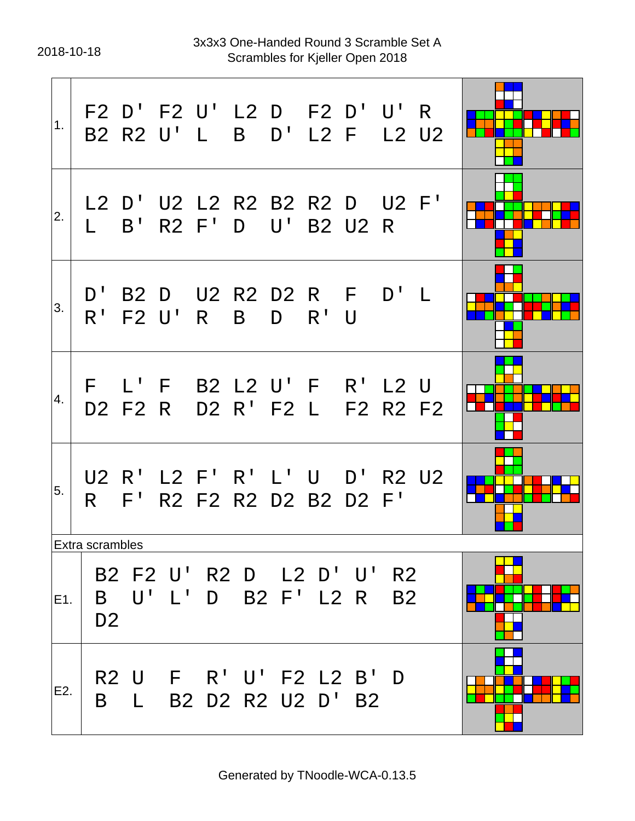2018-10-18 Scrambles for Kjeller Open 2018 3x3x3 One-Handed Round 3 Scramble Set A

| 1.  |                     |         | F2 D' F2 U' L2 D F2 D' U' R<br>B2 R2 U' L B D' L2 F L2 U2     |              |   |        |                     |           |  |
|-----|---------------------|---------|---------------------------------------------------------------|--------------|---|--------|---------------------|-----------|--|
| 2.  | $\mathbb{L}$        |         | L2 D' U2 L2 R2 B2 R2 D U2 F'<br>B' R2 F' D U' B2 U2 R         |              |   |        |                     |           |  |
| 3.  |                     |         | D' B2 D U2 R2 D2 R F D' L<br>R' F2 U' R                       | $\mathsf{B}$ | D | $R'$ U |                     |           |  |
| 4.  |                     | D2 F2 R | F L' F B2 L2 U' F R' L2 U                                     |              |   |        | D2 R' F2 L F2 R2 F2 |           |  |
| 5.  | R —                 |         | U2 R' L2 F' R' L' U D' R2 U2<br>F' R2 F2 R2 D2 B2 D2 F'       |              |   |        |                     |           |  |
|     | Extra scrambles     |         |                                                               |              |   |        |                     |           |  |
| E1. | B<br>D <sub>2</sub> |         | B2 F2 U' R2 D L2 D' U' R2<br>$U'$ $L'$ $D$ $B2$ $F'$ $L2$ $R$ |              |   |        |                     | <b>B2</b> |  |
| E2. | B                   |         | R2 U F R'U'F2 L2 B'D<br>L B2 D2 R2 U2 D' B2                   |              |   |        |                     |           |  |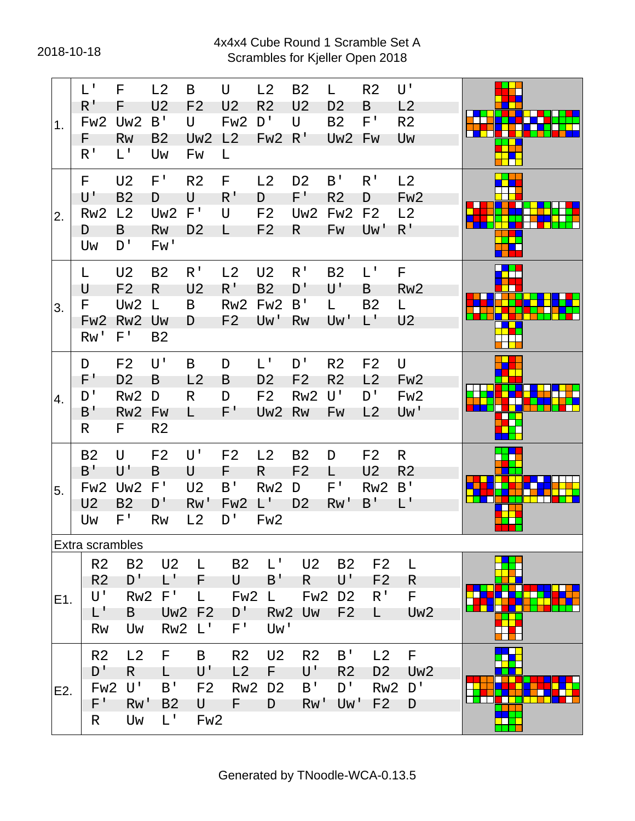#### 2018-10-18 Scrambles for Kjeller Open 2018 4x4x4 Cube Round 1 Scramble Set A

| 1.  | $L^1$<br>$R^{\prime}$<br>Fw <sub>2</sub><br>F.<br>R <sup>T</sup>             | F<br>F<br>Uw <sub>2</sub><br>Rw<br>L'                                                 | L2<br>U <sub>2</sub><br>B'<br><b>B2</b><br>Uw     | B<br>F <sub>2</sub><br>U<br>Uw <sub>2</sub><br>Fw    | U<br>U <sub>2</sub><br>Fw <sub>2</sub><br>L2<br>L.          | L2<br>R <sub>2</sub><br>D'<br>Fw <sub>2</sub>                               | <b>B2</b><br>U <sub>2</sub><br>U<br>R'             | L.<br>D <sub>2</sub><br><b>B2</b><br>Uw <sub>2</sub> Fw                   | R <sub>2</sub><br>B<br>F'                                  | U'<br>L2<br>R <sub>2</sub><br>Uw               |  |
|-----|------------------------------------------------------------------------------|---------------------------------------------------------------------------------------|---------------------------------------------------|------------------------------------------------------|-------------------------------------------------------------|-----------------------------------------------------------------------------|----------------------------------------------------|---------------------------------------------------------------------------|------------------------------------------------------------|------------------------------------------------|--|
| 2.  | F.<br>$\mathsf{U}^{\, \prime}$<br>Rw <sub>2</sub><br>D<br>Uw                 | U <sub>2</sub><br><b>B2</b><br>L2<br>B<br>D'                                          | $F^+$<br>D<br>Uw <sub>2</sub><br>Rw<br>Fw'        | R <sub>2</sub><br>U<br>$F^{\perp}$<br>D <sub>2</sub> | F.<br>$R^1$<br>U<br>L.                                      | L2<br>D<br>F <sub>2</sub><br>F <sub>2</sub>                                 | D <sub>2</sub><br>$F^+$<br>Uw <sub>2</sub><br>R    | B'<br>R <sub>2</sub><br>Fw <sub>2</sub><br>Fw                             | R <sup>1</sup><br>D<br>F <sub>2</sub><br>Uw'               | L2<br>Fw <sub>2</sub><br>L2<br>$R^{\prime}$    |  |
| 3.  | L<br>U<br>F<br>Fw <sub>2</sub><br>Rw'                                        | U <sub>2</sub><br>F <sub>2</sub><br>Uw <sub>2</sub><br>Rw <sub>2</sub><br>$F^{\perp}$ | <b>B2</b><br>R<br>$\mathsf{L}$<br>Uw<br><b>B2</b> | R <sup>T</sup><br>U <sub>2</sub><br>B<br>D           | L2<br>$R^{\mathsf{T}}$<br>Rw <sub>2</sub><br>F <sub>2</sub> | U <sub>2</sub><br><b>B2</b><br>Fw <sub>2</sub><br>Uw'                       | R <sup>T</sup><br>D'<br>B'<br><b>Rw</b>            | <b>B2</b><br>U'<br>L<br>Uw'                                               | $L^{\perp}$<br>B<br><b>B2</b><br>$\mathsf{L}^{\mathsf{T}}$ | F<br>Rw <sub>2</sub><br>L.<br>U <sub>2</sub>   |  |
| 4.  | D<br>F'<br>D'<br>B'<br>R                                                     | F <sub>2</sub><br>D <sub>2</sub><br>Rw <sub>2</sub><br>Rw <sub>2</sub><br>F.          | U'<br>B<br>D<br>Fw<br>R <sub>2</sub>              | B<br>L2<br>R<br>L.                                   | D<br>B<br>D<br>$F^+$                                        | $L^+$<br>D <sub>2</sub><br>F <sub>2</sub><br>Uw <sub>2</sub>                | D'<br>F <sub>2</sub><br>Rw <sub>2</sub><br>Rw      | R <sub>2</sub><br>R <sub>2</sub><br>U'<br>Fw                              | F <sub>2</sub><br>L2<br>$D^{\prime}$<br>L2                 | U<br>Fw <sub>2</sub><br>Fw <sub>2</sub><br>Uw' |  |
| 5.  | <b>B2</b><br>B'<br>Fw <sub>2</sub><br>U <sub>2</sub><br>Uw                   | U<br>U'<br>Uw <sub>2</sub><br>B <sub>2</sub><br>$F^{\intercal}$                       | F <sub>2</sub><br>B<br>F'<br>D'<br><b>Rw</b>      | U'<br>U<br>U <sub>2</sub><br>Rw'<br>L <sub>2</sub>   | F <sub>2</sub><br>F.<br>B'<br>Fw <sub>2</sub><br>D'         | L2<br>R.<br>Rw <sub>2</sub><br>$\mathsf{L}^{\mathsf{L}}$<br>Fw <sub>2</sub> | <b>B2</b><br>F <sub>2</sub><br>D<br>D <sub>2</sub> | D<br>L<br>$F^{\intercal}$<br>RW'                                          | F <sub>2</sub><br>U <sub>2</sub><br>Rw <sub>2</sub><br>B'  | R<br>R <sub>2</sub><br>B'<br>L'                |  |
| E1. | Extra scrambles<br>R <sub>2</sub><br>R <sub>2</sub><br>U'<br>L'<br><b>Rw</b> | <b>B2</b><br>D'<br>Rw <sub>2</sub><br>B<br>Uw                                         | U <sub>2</sub><br>$\mathsf{L}^+$<br>$F^{\perp}$   | L<br>F<br>L<br><b>Uw2 F2</b><br>Rw2 L'               | <b>B2</b><br>U<br>Fw <sub>2</sub><br>$D^{\dagger}$<br>$F^+$ | L'<br>B'<br>L.<br>Rw <sub>2</sub><br>Uw'                                    | U <sub>2</sub><br>R.<br>Fw <sub>2</sub><br>Uw      | <b>B2</b><br>$\mathsf{U}^{\, \prime}$<br>D <sub>2</sub><br>F <sub>2</sub> | F <sub>2</sub><br>F <sub>2</sub><br>R <sup>T</sup><br>L.   | L<br>R.<br>F.<br>Uw <sub>2</sub>               |  |
| E2. | R <sub>2</sub><br>D'<br>Fw <sub>2</sub><br>F'<br>R.                          | L <sub>2</sub><br>R<br>U'<br>Rw'<br>Uw                                                | F<br>L<br>B <sup>T</sup><br>B <sub>2</sub><br>L'  | B<br>U'<br>F <sub>2</sub><br>U<br>Fw <sub>2</sub>    | R <sub>2</sub><br>L2<br>Rw <sub>2</sub><br>F                | U <sub>2</sub><br>F<br>D <sub>2</sub><br>D                                  | R <sub>2</sub><br>U'<br>B'<br>Rw'                  | B'<br>R <sub>2</sub><br>D'<br>Uw'                                         | L2<br>D <sub>2</sub><br>Rw <sub>2</sub><br>F <sub>2</sub>  | F<br>Uw <sub>2</sub><br>D'<br>D                |  |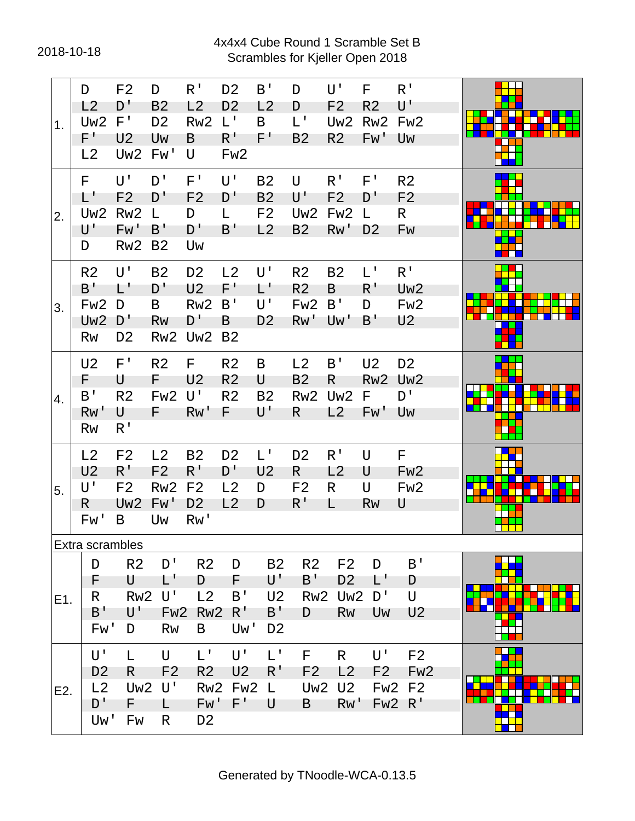#### 2018-10-18 Scrambles for Kjeller Open 2018 4x4x4 Cube Round 1 Scramble Set B

| 1.  | D<br>L2<br>Uw <sub>2</sub><br>$F^+$<br>L2                                      | F <sub>2</sub><br>D'<br>F'<br>U <sub>2</sub><br>Uw <sub>2</sub>          | D<br>B <sub>2</sub><br>D <sub>2</sub><br>Uw<br>Fw'               | R <sup>T</sup><br>L2<br>Rw <sub>2</sub><br>B<br>U                            | D <sub>2</sub><br>D <sub>2</sub><br>$L^{\mathsf{T}}$<br>$R^1$<br>Fw <sub>2</sub> | B <sup>T</sup><br>L2<br>B<br>F'                           | D<br>D<br>$L^{\perp}$<br>B <sub>2</sub>                       | U'<br>F <sub>2</sub><br>Uw <sub>2</sub><br>R <sub>2</sub> | F<br>R <sub>2</sub><br>Rw <sub>2</sub><br>Fw' | R <sup>T</sup><br>$\mathsf{U}^{\, \prime}$<br>Fw <sub>2</sub><br>Uw      |  |
|-----|--------------------------------------------------------------------------------|--------------------------------------------------------------------------|------------------------------------------------------------------|------------------------------------------------------------------------------|----------------------------------------------------------------------------------|-----------------------------------------------------------|---------------------------------------------------------------|-----------------------------------------------------------|-----------------------------------------------|--------------------------------------------------------------------------|--|
| 2.  | F.<br>L'<br>Uw2<br>U'<br>D                                                     | U'<br>F <sub>2</sub><br>Rw <sub>2</sub><br>Fw'<br>Rw <sub>2</sub>        | D'<br>D'<br>L<br>B'<br>B <sub>2</sub>                            | $F^+$<br>F <sub>2</sub><br>D<br>D'<br>Uw                                     | U'<br>D'<br>L.<br>B'                                                             | <b>B2</b><br><b>B2</b><br>F <sub>2</sub><br>L2            | U<br>$\mathsf{U}^{\, \prime}$<br>Uw <sub>2</sub><br><b>B2</b> | $R^1$<br>F <sub>2</sub><br>Fw <sub>2</sub><br>Rw'         | $F^{\perp}$<br>D'<br>L<br>D <sub>2</sub>      | R <sub>2</sub><br>F <sub>2</sub><br>R.<br>Fw                             |  |
| 3.  | R <sub>2</sub><br>$B^{\,I}$<br>Fw <sub>2</sub><br>Uw <sub>2</sub><br><b>Rw</b> | U'<br>$\mathsf{L}^+$<br>D<br>D'<br>D <sub>2</sub>                        | <b>B2</b><br>D'<br>B<br><b>Rw</b><br>Rw <sub>2</sub>             | D <sub>2</sub><br>U <sub>2</sub><br>Rw <sub>2</sub><br>D'<br>Uw <sub>2</sub> | L2<br>$F^+$<br>B'<br>B<br>B <sub>2</sub>                                         | U'<br>L'<br>U'<br>D <sub>2</sub>                          | R <sub>2</sub><br>R <sub>2</sub><br>Fw <sub>2</sub><br>Rw'    | B <sub>2</sub><br>B<br>B'<br>Uw'                          | $L^{\perp}$<br>$R^{\prime}$<br>D<br>B'        | $R^{\mathsf{T}}$<br>Uw <sub>2</sub><br>Fw <sub>2</sub><br>U <sub>2</sub> |  |
| 4.  | U <sub>2</sub><br>F<br>B'<br>Rw'<br>Rw                                         | $F^{\intercal}$<br>U<br>R <sub>2</sub><br>U<br>R <sup>T</sup>            | R <sub>2</sub><br>F.<br>Fw <sub>2</sub><br>F.                    | F<br>U <sub>2</sub><br>U'<br>RW'                                             | R <sub>2</sub><br>R <sub>2</sub><br>R <sub>2</sub><br>F.                         | B<br>U<br>B <sub>2</sub><br>$\mathsf{U}^{\, \prime}$      | L2<br><b>B2</b><br>Rw <sub>2</sub><br>R                       | B'<br>R<br>Uw <sub>2</sub><br>L2                          | U <sub>2</sub><br>F.<br>Fw'                   | D <sub>2</sub><br>Rw2 Uw2<br>$D^{\prime}$<br>Uw                          |  |
| 5.  | L2<br>U <sub>2</sub><br>U'<br>R.<br>Fw'                                        | F <sub>2</sub><br>$R^{\prime}$<br>F <sub>2</sub><br>Uw <sub>2</sub><br>B | L <sub>2</sub><br>F <sub>2</sub><br>Rw <sub>2</sub><br>Fw'<br>Uw | <b>B2</b><br>R'<br>F <sub>2</sub><br>D <sub>2</sub><br>Rw'                   | D <sub>2</sub><br>D'<br>L2<br>L2                                                 | $L^1$<br>U <sub>2</sub><br>D<br>D                         | D <sub>2</sub><br>R.<br>F <sub>2</sub><br>$R^1$               | $R^{\prime}$<br>L2<br>R<br>L                              | U<br>U<br>U<br><b>Rw</b>                      | F<br>Fw <sub>2</sub><br>Fw <sub>2</sub><br>U                             |  |
| E1. | Extra scrambles<br>D<br>F<br>R<br>B'<br>Fw'                                    | R <sub>2</sub><br>U<br>RW2<br>U'<br>D                                    | D'<br>$\mathsf{L}^+$<br>U'<br>Fw <sub>2</sub><br><b>Rw</b>       | R <sub>2</sub><br>D<br>L2<br>Rw <sub>2</sub><br>B                            | D<br>F<br>B'<br>$R^{\prime}$<br>Uw'                                              | <b>B2</b><br>U'<br>U <sub>2</sub><br>B'<br>D <sub>2</sub> | R <sub>2</sub><br>$B^{\dagger}$<br>Rw <sub>2</sub><br>D       | F <sub>2</sub><br>D <sub>2</sub><br>Uw <sub>2</sub><br>Rw | D<br>L'<br>D'<br>Uw                           | B'<br>D<br>U<br>U <sub>2</sub>                                           |  |
| E2. | U'<br>D <sub>2</sub><br>L2<br>D'<br>Uw'                                        | L<br>R<br>Uw <sub>2</sub><br>F.<br>Fw                                    | $\cup$<br>F <sub>2</sub><br>U'<br>L.<br>R                        | $L^{\perp}$<br>R <sub>2</sub><br>Rw <sub>2</sub><br>Fw'<br>D <sub>2</sub>    | U'<br>U <sub>2</sub><br>Fw <sub>2</sub><br>$F^+$                                 | $L^{\mathsf{T}}$<br>R'<br>L<br>U                          | F<br>F <sub>2</sub><br>Uw <sub>2</sub><br>B                   | R.<br>L2<br>U <sub>2</sub><br>Rw'                         | U'<br>F <sub>2</sub><br>Fw <sub>2</sub>       | F <sub>2</sub><br>Fw <sub>2</sub><br>F <sub>2</sub><br>FW2 R'            |  |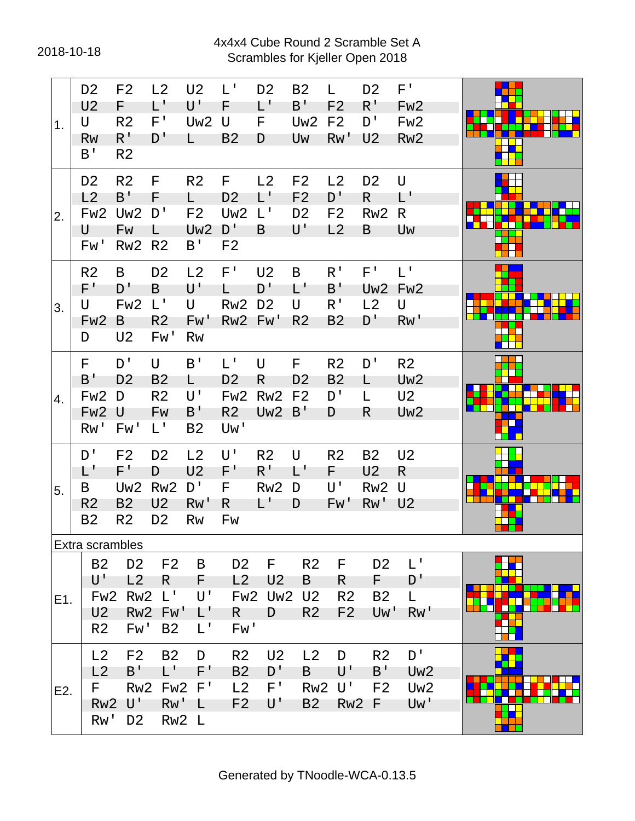#### 2018-10-18 Scrambles for Kjeller Open 2018 4x4x4 Cube Round 2 Scramble Set A

| 1.  | D <sub>2</sub><br>U <sub>2</sub><br>U<br><b>Rw</b><br>B'                                  | F <sub>2</sub><br>F.<br>R <sub>2</sub><br>R <sup>T</sup><br>R <sub>2</sub>     | L2<br>$L^{\prime}$<br>$F^{\intercal}$<br>D'                                | U <sub>2</sub><br>U'<br>Uw <sub>2</sub><br>L.                        | $L^{\perp}$<br>F<br>U<br><b>B2</b>                                             | D <sub>2</sub><br>L'<br>F<br>D                          | <b>B2</b><br>$B^{\perp}$<br>Uw <sub>2</sub><br>Uw                               | L.<br>F <sub>2</sub><br>F <sub>2</sub><br>RW'                      | D <sub>2</sub><br>$R^{\,I}$<br>D'<br>U <sub>2</sub>   | $F^+$<br>Fw <sub>2</sub><br>Fw <sub>2</sub><br>Rw <sub>2</sub>         |  |
|-----|-------------------------------------------------------------------------------------------|--------------------------------------------------------------------------------|----------------------------------------------------------------------------|----------------------------------------------------------------------|--------------------------------------------------------------------------------|---------------------------------------------------------|---------------------------------------------------------------------------------|--------------------------------------------------------------------|-------------------------------------------------------|------------------------------------------------------------------------|--|
| 2.  | D <sub>2</sub><br>L2<br>Fw <sub>2</sub><br>U<br>Fw'                                       | R <sub>2</sub><br>B'<br>Uw <sub>2</sub><br>Fw<br>Rw <sub>2</sub>               | F<br>F<br>D'<br>L.<br>R <sub>2</sub>                                       | R <sub>2</sub><br>L.<br>F <sub>2</sub><br>Uw <sub>2</sub><br>B'      | F.<br>D <sub>2</sub><br>Uw <sub>2</sub><br>D'<br>F <sub>2</sub>                | L2<br>$L^+$<br>$L^{\mathsf{T}}$<br>B                    | F <sub>2</sub><br>F <sub>2</sub><br>D <sub>2</sub><br>$\mathsf{U}^{\mathsf{T}}$ | L2<br>D <sup>T</sup><br>F <sub>2</sub><br>L2                       | D <sub>2</sub><br>R.<br>Rw <sub>2</sub><br>B          | $\cup$<br>L'<br>R<br>Uw                                                |  |
| 3.  | R <sub>2</sub><br>$F^+$<br>U<br>Fw <sub>2</sub><br>D                                      | B<br>D'<br>Fw <sub>2</sub><br>B<br>U <sub>2</sub>                              | D <sub>2</sub><br>B<br>$L^{\prime}$<br>R <sub>2</sub><br>Fw'               | L2<br>U'<br>U<br>Fw'<br><b>Rw</b>                                    | $F^+$<br>L.<br>Rw <sub>2</sub><br>Rw2 Fw'                                      | U <sub>2</sub><br>D'<br>D <sub>2</sub>                  | B<br>L'<br>U<br>R <sub>2</sub>                                                  | $R^{\mathsf{T}}$<br>$B^{\prime}$<br>$R^{\prime}$<br>B <sub>2</sub> | $F^{\prime}$<br>L2<br>D'                              | $L^+$<br>Uw <sub>2</sub> Fw <sub>2</sub><br>U<br>Rw'                   |  |
| 4.  | F<br>B'<br>Fw <sub>2</sub><br>Fw <sub>2</sub><br>Rw'                                      | D'<br>D <sub>2</sub><br>D<br>U<br>Fw'                                          | $\mathsf{U}$<br>B <sub>2</sub><br>R <sub>2</sub><br>Fw<br>$L^{\perp}$      | B'<br>L<br>U'<br>$B^{\prime}$<br><b>B2</b>                           | $L^{\mathsf{T}}$<br>D <sub>2</sub><br>Fw <sub>2</sub><br>R <sub>2</sub><br>Uw' | $\cup$<br>R<br>Rw <sub>2</sub><br>Uw2 B'                | F<br>D <sub>2</sub><br>F <sub>2</sub>                                           | R <sub>2</sub><br>B <sub>2</sub><br>D'<br>D                        | D'<br>L<br>L<br>R                                     | R <sub>2</sub><br>Uw <sub>2</sub><br>U <sub>2</sub><br>Uw <sub>2</sub> |  |
| 5.  | D'<br>L'<br>B<br>R <sub>2</sub><br>B <sub>2</sub>                                         | F <sub>2</sub><br>$F^+$<br>Uw <sub>2</sub><br>B <sub>2</sub><br>R <sub>2</sub> | D <sub>2</sub><br>D<br>Rw <sub>2</sub><br>U <sub>2</sub><br>D <sub>2</sub> | L2<br>U <sub>2</sub><br>D'<br>Rw'<br>Rw                              | U'<br>$F^+$<br>F.<br>R.<br>Fw                                                  | R <sub>2</sub><br>$R^{\prime}$<br>Rw <sub>2</sub><br>L' | U<br>Ľ<br>D<br>D                                                                | R <sub>2</sub><br>F.<br>$\mathsf{U}^{\, \prime}$<br>Fw'            | <b>B2</b><br>U <sub>2</sub><br>Rw2 U<br><b>Rw' U2</b> | U <sub>2</sub><br>R                                                    |  |
| E1. | Extra scrambles<br><b>B2</b><br>U'<br>Fw <sub>2</sub><br>U <sub>2</sub><br>R <sub>2</sub> | D <sub>2</sub><br>L2<br>Rw <sub>2</sub><br>Fw'                                 | F <sub>2</sub><br>R.<br>$L^1$<br>Rw <sub>2</sub> Fw'<br><b>B2</b>          | B<br>F.<br>$\mathsf{U}^{\, \prime}$<br>$\mathsf{L}'$<br>$L^{\prime}$ | D <sub>2</sub><br>L2<br>R.<br>Fw'                                              | F<br>U <sub>2</sub><br><b>Fw2 Uw2 U2</b><br>D           | R <sub>2</sub><br>B<br>R <sub>2</sub>                                           | F<br>R<br>R <sub>2</sub><br>F <sub>2</sub>                         | D <sub>2</sub><br>F.<br><b>B2</b><br>Uw'              | $L^{\mathsf{T}}$<br>D'<br>L.<br>Rw'                                    |  |
| E2. | L2<br>L2<br>F.<br>Rw <sub>2</sub><br>Rw'                                                  | F <sub>2</sub><br>B'<br>Rw <sub>2</sub><br>U'<br>D <sub>2</sub>                | B <sub>2</sub><br>$\mathsf{L}^+$<br>Fw <sub>2</sub><br>Rw'                 | D<br>F'<br>$F^{\, \prime}$<br>- L<br>Rw2 L                           | R <sub>2</sub><br><b>B2</b><br>L <sub>2</sub><br>F <sub>2</sub>                | U <sub>2</sub><br>D'<br>$F^{\prime}$<br>U'              | L2<br>B<br>Rw <sub>2</sub><br>B <sub>2</sub>                                    | D<br>U'<br>$\mathsf{U}^{\mathsf{T}}$<br>Rw <sub>2</sub>            | R <sub>2</sub><br>B'<br>F <sub>2</sub><br>-F          | D'<br>Uw <sub>2</sub><br>Uw <sub>2</sub><br>Uw'                        |  |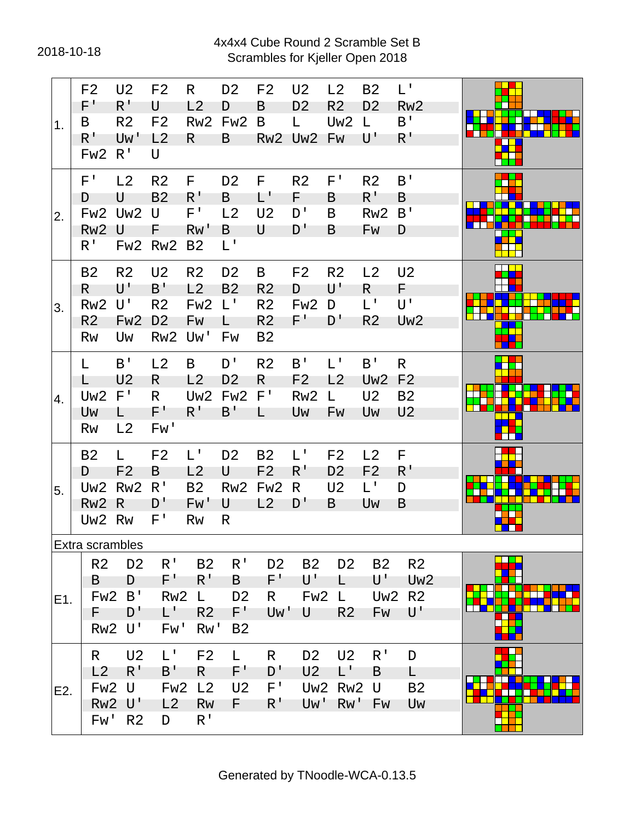#### 2018-10-18 Scrambles for Kjeller Open 2018 4x4x4 Cube Round 2 Scramble Set B

| 1.  | F <sub>2</sub><br>$F^+$<br>B<br>$R^{\prime}$<br>Fw <sub>2</sub>                | U <sub>2</sub><br>$R^1$<br>R <sub>2</sub><br>Uw'<br>R <sup>T</sup>                              | F <sub>2</sub><br>U<br>F <sub>2</sub><br>L <sub>2</sub><br>U                | R<br>L2<br>Rw <sub>2</sub><br>$\mathsf{R}$                                                     | D <sub>2</sub><br>D<br>Fw <sub>2</sub><br>B              | F <sub>2</sub><br>B<br>B                                             | U <sub>2</sub><br>D <sub>2</sub><br>L.<br>Rw2 Uw2 Fw            | L2<br>R <sub>2</sub><br>Uw <sub>2</sub>                          | <b>B2</b><br>D <sub>2</sub><br>$\mathsf{L}$<br>U'          | $L^+$<br>Rw <sub>2</sub><br>B'<br>$R^{\prime}$                     |  |
|-----|--------------------------------------------------------------------------------|-------------------------------------------------------------------------------------------------|-----------------------------------------------------------------------------|------------------------------------------------------------------------------------------------|----------------------------------------------------------|----------------------------------------------------------------------|-----------------------------------------------------------------|------------------------------------------------------------------|------------------------------------------------------------|--------------------------------------------------------------------|--|
| 2.  | $F^{\prime}$<br>D<br>Fw <sub>2</sub><br>Rw <sub>2</sub><br>R <sup>1</sup>      | L <sub>2</sub><br>U<br>Uw2<br>U                                                                 | R <sub>2</sub><br><b>B2</b><br>U<br>F<br>Fw2 Rw2                            | F.<br>$R^{\mathsf{T}}$<br>$F^{\perp}$<br>RW'<br>B <sub>2</sub>                                 | D <sub>2</sub><br>B<br>L2<br>B<br>$L^{\perp}$            | F.<br>L'<br>U <sub>2</sub><br>U                                      | R <sub>2</sub><br>F.<br>D'<br>D'                                | $F^{\prime}$<br>B<br>B<br>B                                      | R <sub>2</sub><br>$R^1$<br>Rw <sub>2</sub><br>Fw           | B'<br>B<br>B'<br>D                                                 |  |
| 3.  | <b>B2</b><br>R.<br>Rw <sub>2</sub><br>R <sub>2</sub><br><b>Rw</b>              | R <sub>2</sub><br>U'<br>U'<br>Fw <sub>2</sub><br>Uw                                             | U <sub>2</sub><br>B'<br>R <sub>2</sub><br>D <sub>2</sub><br>Rw <sub>2</sub> | R <sub>2</sub><br>L2<br>Fw <sub>2</sub><br>Fw<br>Uw'                                           | D <sub>2</sub><br><b>B2</b><br>$L^+$<br>L.<br>Fw         | B<br>R <sub>2</sub><br>R <sub>2</sub><br>R <sub>2</sub><br><b>B2</b> | F <sub>2</sub><br>D<br>Fw <sub>2</sub><br>$F^+$                 | R <sub>2</sub><br>U'<br>D<br>D'                                  | L2<br>R<br>$L^1$<br>R <sub>2</sub>                         | U <sub>2</sub><br>F.<br>U'<br>Uw <sub>2</sub>                      |  |
| 4.  | L<br>L<br>Uw <sub>2</sub><br>Uw<br>Rw                                          | B'<br>U <sub>2</sub><br>$F^{\, \prime}$<br>L.<br>L2                                             | L2<br>R<br>R.<br>F'<br>Fw'                                                  | B<br>L2<br>Uw <sub>2</sub><br>$R^{\mathsf{T}}$                                                 | D'<br>D <sub>2</sub><br>Fw <sub>2</sub><br>$B^{\dagger}$ | R <sub>2</sub><br>R<br>$F^{\prime}$<br>L                             | B'<br>F <sub>2</sub><br>Rw <sub>2</sub><br>Uw                   | $L^+$<br>L2<br>L<br>Fw                                           | B'<br>Uw <sub>2</sub><br>U <sub>2</sub><br>Uw              | $\mathsf{R}$<br>F <sub>2</sub><br>B <sub>2</sub><br>U <sub>2</sub> |  |
| 5.  | <b>B2</b><br>D<br>Uw <sub>2</sub><br>Rw <sub>2</sub><br>Uw <sub>2</sub>        | L.<br>F <sub>2</sub><br>Rw <sub>2</sub><br>R<br><b>Rw</b>                                       | F <sub>2</sub><br>B<br>R'<br>D'<br>F'                                       | L'<br>L2<br><b>B2</b><br>Fw'<br>Rw                                                             | D <sub>2</sub><br>U<br>Rw <sub>2</sub><br>U<br>R         | <b>B2</b><br>F <sub>2</sub><br>Fw <sub>2</sub><br>L2                 | $L^+$<br>$R^{\perp}$<br>R<br>D'                                 | F <sub>2</sub><br>D <sub>2</sub><br>U <sub>2</sub><br>B          | L <sub>2</sub><br>F <sub>2</sub><br>$L^{\mathsf{T}}$<br>Uw | E<br>R <sup>T</sup><br>D<br>B                                      |  |
| E1. | Extra scrambles<br>R <sub>2</sub><br>B<br>Fw <sub>2</sub>                      | D <sub>2</sub><br>D<br>B'                                                                       | R <sup>T</sup><br>$F^+$<br>Rw <sub>2</sub>                                  | <b>B2</b><br>$R^{\prime}$<br>L.                                                                | $R^{\perp}$<br>B<br>D <sub>2</sub>                       | D <sub>2</sub><br>$F^+$<br>R.                                        | <b>B2</b><br>U'<br>Fw <sub>2</sub>                              | D <sub>2</sub><br>L<br>L.                                        | <b>B2</b><br>U'<br>Uw <sub>2</sub>                         | R <sub>2</sub><br>Uw <sub>2</sub><br>R <sub>2</sub>                |  |
| E2. | F.<br>Rw <sub>2</sub><br>R.<br>L2<br>Fw <sub>2</sub><br>Rw <sub>2</sub><br>Fw' | D'<br>ី U<br>U <sub>2</sub><br>$R^{\prime}$<br>U<br>$\mathsf{U}^{\mathsf{T}}$<br>R <sub>2</sub> | L'<br>Fw'<br>$L^1$<br>$B^{\prime}$<br>Fw <sub>2</sub><br>L2<br>D            | R <sub>2</sub><br>Rw'<br>F <sub>2</sub><br>R.<br>L <sub>2</sub><br><b>Rw</b><br>R <sup>1</sup> | F'<br>B <sub>2</sub><br>L.<br>F'<br>U <sub>2</sub><br>F. | Uw'<br>R<br>D'<br>F'<br>R'                                           | U<br>D <sub>2</sub><br>U <sub>2</sub><br>Uw <sub>2</sub><br>Uw' | R <sub>2</sub><br>U <sub>2</sub><br>L'<br>Rw <sub>2</sub><br>Rw' | Fw<br>$R^{\mathsf{T}}$<br>B<br>U<br>Fw                     | U'<br>D<br>L.<br><b>B2</b><br>Uw                                   |  |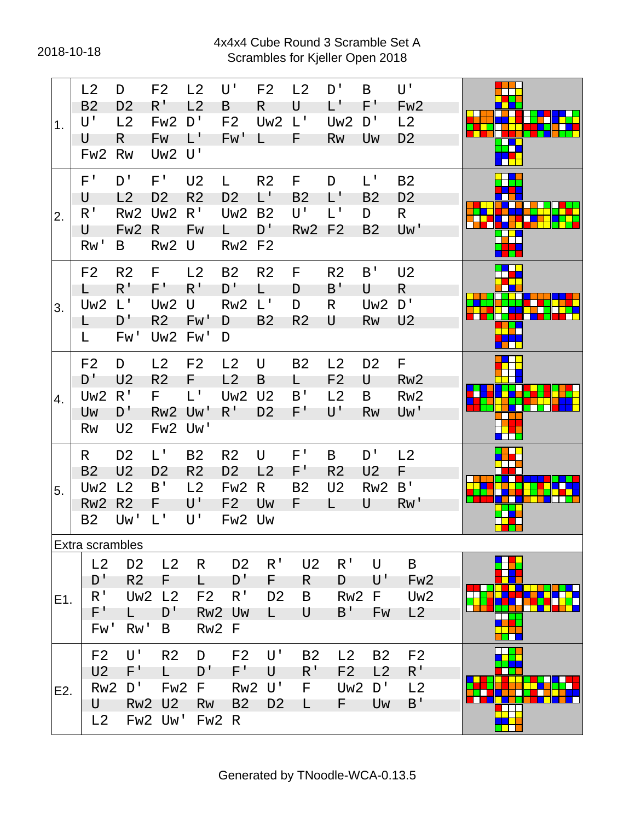#### 2018-10-18 Scrambles for Kjeller Open 2018 4x4x4 Cube Round 3 Scramble Set A

| 1 <sub>1</sub> | L2<br>B <sub>2</sub><br>U'<br>U | D<br>D <sub>2</sub><br>L2<br>R.    | F <sub>2</sub><br>$R^{\,I}$<br>Fw <sub>2</sub><br>Fw | L2<br>L <sub>2</sub><br>D'<br>L' | U'<br>B<br>F <sub>2</sub><br>Fw' | F <sub>2</sub><br>R<br>Uw <sub>2</sub><br>L | L <sub>2</sub><br>U<br>$L^{\prime}$<br>F. | D'<br>L'<br>Uw <sub>2</sub><br>Rw | B<br>$F^+$<br>D'<br>Uw | $U^{\dagger}$<br>Fw <sub>2</sub><br>L2<br>D <sub>2</sub> |  |
|----------------|---------------------------------|------------------------------------|------------------------------------------------------|----------------------------------|----------------------------------|---------------------------------------------|-------------------------------------------|-----------------------------------|------------------------|----------------------------------------------------------|--|
|                | Fw <sub>2</sub>                 | <b>Rw</b>                          | Uw <sub>2</sub>                                      | U'                               |                                  |                                             |                                           |                                   |                        |                                                          |  |
|                | $F^{\prime}$                    | D'                                 | F'                                                   | U <sub>2</sub>                   | L.                               | R <sub>2</sub>                              | F.                                        | D                                 | L'                     | <b>B2</b>                                                |  |
|                | U                               | L2                                 | D <sub>2</sub>                                       | R <sub>2</sub>                   | D <sub>2</sub>                   | L'                                          | <b>B2</b>                                 | L'                                | B <sub>2</sub>         | D <sub>2</sub>                                           |  |
| 2.             | R <sup>T</sup><br>U             | Rw <sub>2</sub><br>Fw <sub>2</sub> | Uw <sub>2</sub><br>$\mathsf{R}$                      | $R^{\prime}$<br>Fw               | Uw <sub>2</sub><br>$\mathsf{L}$  | <b>B2</b><br>$D^{\dagger}$                  | U'<br><b>Rw2 F2</b>                       | $L^{\perp}$                       | D<br><b>B2</b>         | R.<br>Uw'                                                |  |
|                | Rw'                             | B                                  | Rw <sub>2</sub>                                      | U                                | <b>Rw2 F2</b>                    |                                             |                                           |                                   |                        |                                                          |  |
|                | F <sub>2</sub>                  | R <sub>2</sub>                     | F                                                    | L2                               | <b>B2</b>                        | R <sub>2</sub>                              | F.                                        | R <sub>2</sub>                    | B'                     | U <sub>2</sub>                                           |  |
|                | L.                              | $R^{\prime}$                       | $F^{\prime}$                                         | $R^{\prime}$                     | D'                               | L                                           | D                                         | B'                                | U                      | $\mathsf{R}$                                             |  |
| 3.             | Uw <sub>2</sub>                 | $L^+$                              | Uw <sub>2</sub>                                      | U                                | Rw <sub>2</sub>                  | $L^{\mathsf{T}}$                            | D                                         | R                                 | Uw <sub>2</sub>        | D'                                                       |  |
|                | L.                              | D'                                 | R <sub>2</sub>                                       | Fw'                              | D                                | B <sub>2</sub>                              | R <sub>2</sub>                            | U                                 | Rw                     | U <sub>2</sub>                                           |  |
|                | L.                              | Fw'                                | Uw <sub>2</sub> Fw'                                  |                                  | D                                |                                             |                                           |                                   |                        |                                                          |  |
|                | F <sub>2</sub>                  | D                                  | L <sub>2</sub>                                       | F <sub>2</sub>                   | L2                               | U                                           | <b>B2</b>                                 | L2                                | D <sub>2</sub>         | F.                                                       |  |
|                | D'                              | U <sub>2</sub>                     | R <sub>2</sub>                                       | F.                               | L2                               | B                                           | L.                                        | F <sub>2</sub>                    | U                      | Rw <sub>2</sub>                                          |  |
| 4.             | Uw <sub>2</sub>                 | $R^{\prime}$                       | F.                                                   | $L^+$                            | Uw <sub>2</sub>                  | U <sub>2</sub>                              | $B^{\prime}$                              | L2                                | B                      | Rw <sub>2</sub>                                          |  |
|                | Uw<br>Rw                        | D'<br>U <sub>2</sub>               | Rw <sub>2</sub><br>Fw <sub>2</sub>                   | Uw'<br>Uw'                       | $R^{\prime}$                     | D <sub>2</sub>                              | $F^+$                                     | U'                                | Rw                     | Uw'                                                      |  |
|                |                                 |                                    |                                                      |                                  |                                  |                                             |                                           |                                   |                        |                                                          |  |
|                | R.<br>B <sub>2</sub>            | D <sub>2</sub><br>U <sub>2</sub>   | $L^{\mathsf{T}}$<br>D <sub>2</sub>                   | <b>B2</b><br>R <sub>2</sub>      | R <sub>2</sub><br>D <sub>2</sub> | U<br>L2                                     | $F^{\perp}$<br>$F^{\prime}$               | B<br>R <sub>2</sub>               | D'<br>U <sub>2</sub>   | L <sub>2</sub><br>F.                                     |  |
| 55.            | Uw <sub>2</sub>                 | L2                                 | B'                                                   | L2                               | Fw <sub>2</sub>                  | R                                           | <b>B2</b>                                 | U <sub>2</sub>                    | Rw <sub>2</sub>        | B'                                                       |  |
|                | Rw <sub>2</sub>                 | R <sub>2</sub>                     | F.                                                   | U'                               | F <sub>2</sub>                   | Uw                                          | F.                                        | L.                                | U                      | Rw'                                                      |  |
|                | <b>B2</b>                       | Uw'                                | $L^1$                                                | U'                               | Fw2 Uw                           |                                             |                                           |                                   |                        |                                                          |  |
|                | Extra scrambles                 |                                    |                                                      |                                  |                                  |                                             |                                           |                                   |                        |                                                          |  |
|                | L2                              | D <sub>2</sub>                     | L2                                                   | R                                | D <sub>2</sub>                   | R <sup>T</sup>                              | U <sub>2</sub>                            | R <sup>T</sup>                    | U                      | B                                                        |  |
|                | D'                              | R <sub>2</sub>                     | F.                                                   | L.                               | D'                               | F.                                          | R                                         | D                                 | U'                     | Fw <sub>2</sub>                                          |  |
| E1.            | $R^{\prime}$                    | Uw <sub>2</sub>                    | L <sub>2</sub>                                       | F <sub>2</sub>                   | $R^{\prime}$                     | D <sub>2</sub>                              | B                                         | Rw <sub>2</sub>                   | E                      | Uw <sub>2</sub>                                          |  |
|                | $F^{\prime}$<br>Fw'             | L<br>Rw'                           | D'<br>B                                              | Rw <sub>2</sub>                  | Uw                               | L                                           | U                                         | B'                                | Fw                     | L2                                                       |  |
|                |                                 |                                    |                                                      |                                  | Rw <sub>2</sub> F                |                                             |                                           |                                   |                        |                                                          |  |
|                | F <sub>2</sub>                  | U'                                 | R <sub>2</sub>                                       | D                                | F <sub>2</sub>                   | U'                                          | <b>B2</b>                                 | L2                                | <b>B2</b>              | F <sub>2</sub>                                           |  |
|                | U <sub>2</sub>                  | $F^+$<br>D'                        | $\mathsf{L}$                                         | D'                               | F'                               | U<br>้ U '                                  | $R^{\,1}$                                 | F <sub>2</sub>                    | L2                     | $R^+$                                                    |  |
| E2.            | Rw <sub>2</sub><br>U            | RW2                                | Fw <sub>2</sub><br>U <sub>2</sub>                    | F<br><b>Rw</b>                   | Rw <sub>2</sub><br><b>B2</b>     | D <sub>2</sub>                              | F<br>L                                    | Uw <sub>2</sub><br>F.             | D'<br>Uw               | L2<br>B'                                                 |  |
|                | L2                              |                                    | Fw2 Uw'                                              |                                  | FW2 R                            |                                             |                                           |                                   |                        |                                                          |  |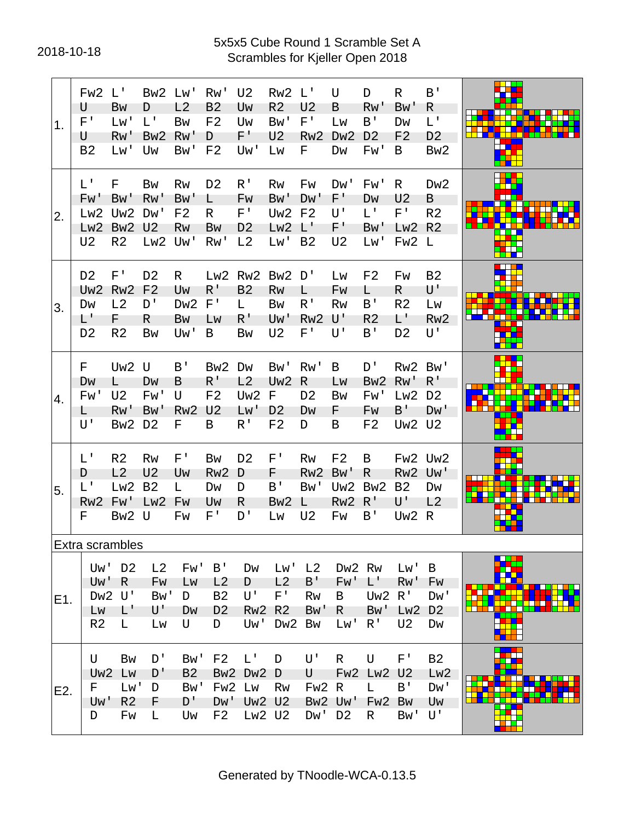#### 2018-10-18 Scrambles for Kjeller Open 2018 5x5x5 Cube Round 1 Scramble Set A

| 1.  | Fw <sub>2</sub><br>U<br>$F^{\perp}$<br>U<br><b>B2</b>                          | $L^{\prime}$<br>Bw<br>Lw<br>Rw'<br>Lw'                                 | Bw <sub>2</sub><br>D<br>$L^{\mathsf{T}}$<br>Bw <sub>2</sub><br>Uw | Lw'<br>L2<br><b>Bw</b><br>Rw'<br>Bw'            | Rw'<br>B <sub>2</sub><br>F <sub>2</sub><br>D<br>F <sub>2</sub>                           | U <sub>2</sub><br>Uw<br>Uw<br>$F^+$<br>Uw'                              | Rw <sub>2</sub><br>R <sub>2</sub><br>Bw'<br>U <sub>2</sub><br>Lw | $\mathsf{L}^{\mathsf{T}}$<br>U <sub>2</sub><br>$F^{\perp}$<br>Rw <sub>2</sub><br>F | U<br>B<br>Lw<br>D <sub>w</sub> 2<br>Dw                            | D<br>Rw'<br>$B^{\prime}$<br>D <sub>2</sub><br>Fw'           | R<br>Bw'<br>Dw<br>F <sub>2</sub><br>B                             | B'<br>R.<br>$L^+$<br>D <sub>2</sub><br>Bw <sub>2</sub>                     |  |
|-----|--------------------------------------------------------------------------------|------------------------------------------------------------------------|-------------------------------------------------------------------|-------------------------------------------------|------------------------------------------------------------------------------------------|-------------------------------------------------------------------------|------------------------------------------------------------------|------------------------------------------------------------------------------------|-------------------------------------------------------------------|-------------------------------------------------------------|-------------------------------------------------------------------|----------------------------------------------------------------------------|--|
| 2.  | $L^{\mathsf{T}}$<br>Fw<br>Lw <sub>2</sub><br>Lw <sub>2</sub><br>U <sub>2</sub> | F<br><b>Bw</b><br>Uw <sub>2</sub><br>Bw <sub>2</sub><br>R <sub>2</sub> | <b>Bw</b><br>RW'<br>Dw'<br>U <sub>2</sub><br>Lw <sub>2</sub>      | Rw<br>Bw'<br>F <sub>2</sub><br><b>Rw</b><br>Uw' | D <sub>2</sub><br>L.<br>R.<br>Bw<br>Rw'                                                  | R <sup>1</sup><br>Fw<br>$F^{\perp}$<br>D <sub>2</sub><br>L <sub>2</sub> | <b>Rw</b><br>Bw'<br>Uw <sub>2</sub><br>Lw <sub>2</sub><br>Lw'    | Fw<br>D <sub>W</sub> '<br>F <sub>2</sub><br>$\mathsf{L}^+$<br>B <sub>2</sub>       | Dw'<br>F'<br>U'<br>F'<br>U <sub>2</sub>                           | Fw'<br>DW<br>L'<br>Bw'<br>Lw'                               | R<br>U <sub>2</sub><br>$F^{\perp}$<br>Lw <sub>2</sub><br>FW2 L    | D <sub>w</sub> 2<br>B<br>R <sub>2</sub><br>R <sub>2</sub>                  |  |
| 3.  | D <sub>2</sub><br>Uw <sub>2</sub><br>Dw<br>$L^+$<br>D <sub>2</sub>             | F'<br>Rw <sub>2</sub><br>L2<br>F<br>R <sub>2</sub>                     | D <sub>2</sub><br>F <sub>2</sub><br>D'<br>R<br><b>Bw</b>          | R.<br>Uw<br>Dw <sub>2</sub><br>Bw<br>Uw'        | $R^{\prime}$<br>$F^{\prime}$<br>Lw<br>B                                                  | Lw2 Rw2<br>B <sub>2</sub><br>L.<br>$R^{\prime}$<br><b>Bw</b>            | Bw <sub>2</sub><br>Rw<br><b>Bw</b><br>Uw'<br>U <sub>2</sub>      | D'<br>L<br>$R^{\prime}$<br>Rw <sub>2</sub><br>$F^{\perp}$                          | Lw<br>Fw<br>Rw<br>U'<br>U'                                        | F <sub>2</sub><br>L.<br>B'<br>R <sub>2</sub><br>B'          | Fw<br>R.<br>R <sub>2</sub><br>L'<br>D <sub>2</sub>                | B <sub>2</sub><br>U'<br>Lw<br>Rw <sub>2</sub><br>U'                        |  |
| 4.  | F<br>Dw<br>Fw'<br>L.<br>U'                                                     | Uw <sub>2</sub><br>L<br>U <sub>2</sub><br>RW'<br>Bw <sub>2</sub>       | U<br>DW<br>Fw'<br>Bw'<br>D <sub>2</sub>                           | B'<br>B<br>U<br>Rw <sub>2</sub><br>F.           | Bw <sub>2</sub><br>$R^{\prime}$<br>F <sub>2</sub><br>U <sub>2</sub><br>B                 | Dw<br>L2<br>Uw <sub>2</sub><br>LW<br>R <sup>1</sup>                     | Bw'<br>Uw <sub>2</sub><br>F<br>D <sub>2</sub><br>F <sub>2</sub>  | Rw'<br>R<br>D <sub>2</sub><br>Dw<br>D                                              | B<br>LW<br>Bw<br>F<br>B                                           | D'<br>Bw <sub>2</sub><br>Fw'<br>Fw<br>F <sub>2</sub>        | Rw <sub>2</sub><br>Rw'<br>Lw2<br>$B^{\prime}$<br>Uw <sub>2</sub>  | Bw'<br>$R^{\perp}$<br>D <sub>2</sub><br>D <sub>W</sub> '<br>U <sub>2</sub> |  |
| 5.  | $L^{\prime}$<br>D<br>$L^1$<br>Rw <sub>2</sub><br>F                             | R <sub>2</sub><br>L2<br>Lw2<br>Fw'<br>Bw <sub>2</sub>                  | <b>Rw</b><br>U <sub>2</sub><br><b>B2</b><br>Lw <sub>2</sub><br>U  | $F^{\, \prime}$<br>Uw<br>L<br>Fw<br>Fw          | Bw<br>Rw <sub>2</sub><br>Dw<br>Uw<br>$F^{\intercal}$                                     | D <sub>2</sub><br>D<br>D<br>R.<br>D'                                    | $F^{\prime}$<br>F<br>B'<br>Bw <sub>2</sub><br>Lw                 | <b>Rw</b><br>Rw <sub>2</sub><br>Bw'<br>L<br>U <sub>2</sub>                         | F <sub>2</sub><br>Bw'<br>Uw <sub>2</sub><br>Rw <sub>2</sub><br>Fw | B<br>R<br>Bw <sub>2</sub><br>R'<br>B'                       | Fw2 Uw2<br>Rw <sub>2</sub><br><b>B2</b><br>U'<br>Uw <sub>2</sub>  | Uw'<br>Dw<br>L2<br>R                                                       |  |
|     | Extra scrambles                                                                |                                                                        |                                                                   |                                                 |                                                                                          |                                                                         |                                                                  |                                                                                    |                                                                   |                                                             |                                                                   |                                                                            |  |
| E1. | Uw'<br>Uw'<br>Dw <sub>2</sub><br>LW<br>R <sub>2</sub>                          | D <sub>2</sub><br>R<br>U'<br>L'<br>L                                   | L2<br>Fw<br>Bw'<br>U'<br>Lw                                       | Fw'<br>Lw<br>D<br>Dw<br>U                       | B'<br>L <sub>2</sub><br><b>B2</b><br>D <sub>2</sub><br>D                                 | Dw<br>D<br>U'<br>Rw <sub>2</sub><br>Uw'                                 | Lw'<br>L2<br>$F^+$<br>R <sub>2</sub><br>Dw <sub>2</sub>          | L <sub>2</sub><br>$B^{\prime}$<br>Rw<br>Bw'<br>Bw                                  | Fw'<br>B<br>R<br>Lw'                                              | Dw2 Rw<br>$L^+$<br>Uw <sub>2</sub><br>Bw'<br>R <sup>T</sup> | Lw'<br>Rw'<br>R <sup>T</sup><br>Lw <sub>2</sub><br>U <sub>2</sub> | B<br>Fw<br>Dw'<br>D <sub>2</sub><br>Dw                                     |  |
| E2. | U<br>Uw <sub>2</sub><br>F.<br>Uw'<br>D                                         | <b>Bw</b><br>Lw<br>Lw'<br>R <sub>2</sub><br>Fw                         | D'<br>D'<br>D<br>F.<br>L                                          | Bw'<br><b>B2</b><br>Bw'<br>D'<br>Uw             | F <sub>2</sub><br>Bw <sub>2</sub><br>Fw <sub>2</sub><br>D <sub>M</sub><br>F <sub>2</sub> | $L^+$<br>Dw <sub>2</sub><br>Lw<br>Uw <sub>2</sub>                       | D<br>D<br>Rw<br>U <sub>2</sub><br>Lw2 U2                         | U'<br>U<br>Fw <sub>2</sub><br>Bw <sub>2</sub><br>Dw'                               | $\mathsf{R}$<br>R<br>Uw'<br>D <sub>2</sub>                        | U<br>Fw2 Lw2<br>L.<br>Fw <sub>2</sub><br>R.                 | $F^+$<br>U <sub>2</sub><br>$B^{\prime}$<br>Bw<br>Bw'              | <b>B2</b><br>Lw <sub>2</sub><br>Dw'<br>Uw<br>U'                            |  |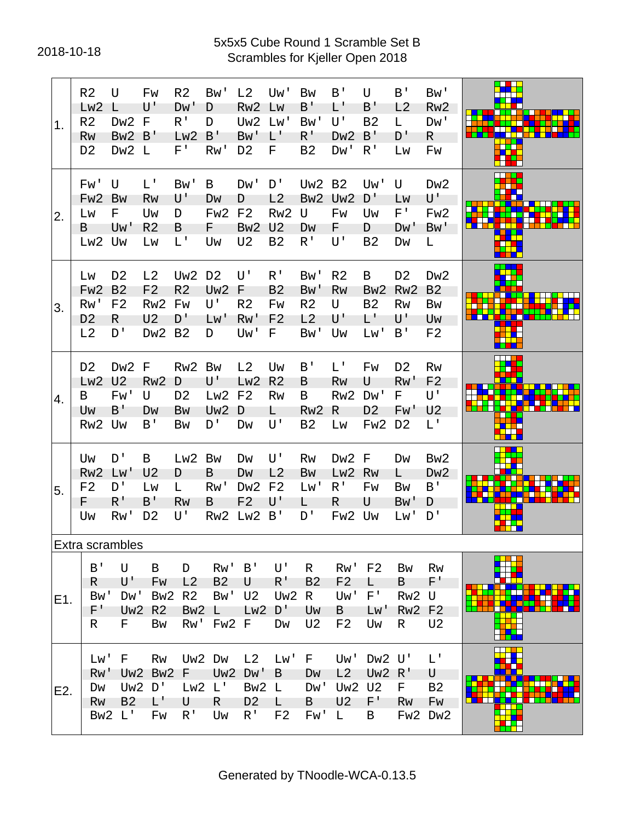#### 2018-10-18 Scrambles for Kjeller Open 2018 5x5x5 Cube Round 1 Scramble Set B

| 1.  | R <sub>2</sub><br>Lw <sub>2</sub><br>R <sub>2</sub><br><b>Rw</b><br>D <sub>2</sub> | U<br>L<br>Dw <sub>2</sub><br>Bw <sub>2</sub><br>Dw <sub>2</sub> | Fw<br>U'<br>F<br>B'<br>L                                                     | R <sub>2</sub><br>Dw'<br>$R^{\prime}$<br>Lw2<br>F'              | Bw'<br>D<br>D<br>B'<br>Rw'                                  | L <sub>2</sub><br>Rw <sub>2</sub><br>Uw <sub>2</sub><br>Bw'<br>D <sub>2</sub> | Uw'<br>LW<br>Lw'<br>L'<br>F                                 | <b>Bw</b><br>B'<br>Bw'<br>$R^{\perp}$<br>B <sub>2</sub>      | B'<br>L'<br>$U^{\dagger}$<br>Dw <sub>2</sub><br>Dw'                  | U<br>B'<br><b>B2</b><br>B'<br>$R^{\prime}$          | B'<br>L <sub>2</sub><br>L.<br>D'<br>Lw                     | Bw'<br>Rw <sub>2</sub><br>Dw'<br>R.<br>Fw                       |   |
|-----|------------------------------------------------------------------------------------|-----------------------------------------------------------------|------------------------------------------------------------------------------|-----------------------------------------------------------------|-------------------------------------------------------------|-------------------------------------------------------------------------------|-------------------------------------------------------------|--------------------------------------------------------------|----------------------------------------------------------------------|-----------------------------------------------------|------------------------------------------------------------|-----------------------------------------------------------------|---|
| 2.  | Fw'<br>Fw <sub>2</sub><br>Lw<br>B<br>Lw2                                           | U<br><b>Bw</b><br>F<br>Uw'<br>Uw                                | $L^{\mathsf{T}}$<br>Rw<br>Uw<br>R <sub>2</sub><br>Lw                         | Bw'<br>U'<br>D<br>B<br>L'                                       | B<br>DW<br>Fw <sub>2</sub><br>F.<br>Uw                      | Dw'<br>D<br>F <sub>2</sub><br>Bw <sub>2</sub><br>U <sub>2</sub>               | D'<br>L2<br>Rw <sub>2</sub><br>U <sub>2</sub><br><b>B2</b>  | Uw <sub>2</sub><br>Bw <sub>2</sub><br>U<br>Dw<br>$R^1$       | B <sub>2</sub><br>Uw <sub>2</sub><br>Fw<br>F.<br>U'                  | Uw'<br>D'<br>Uw<br>D<br><b>B2</b>                   | U<br>LW<br>$F^+$<br>D <sub>W</sub><br>Dw                   | D <sub>w</sub> 2<br>U'<br>Fw <sub>2</sub><br>Bw'<br>L           |   |
| 3.  | LW<br>Fw <sub>2</sub><br>Rw'<br>D <sub>2</sub><br>L2                               | D <sub>2</sub><br>B <sub>2</sub><br>F <sub>2</sub><br>R<br>D'   | L2<br>F <sub>2</sub><br>Rw <sub>2</sub><br>U <sub>2</sub><br>Dw <sub>2</sub> | Uw <sub>2</sub><br>R <sub>2</sub><br>Fw<br>D'<br>B <sub>2</sub> | D <sub>2</sub><br>Uw <sub>2</sub><br>U'<br>Lw'<br>D         | U'<br>F<br>R <sub>2</sub><br>Rw'<br>Uw'                                       | $R^{\prime}$<br>B <sub>2</sub><br>Fw<br>F <sub>2</sub><br>F | Bw'<br>B <sub>W</sub><br>R <sub>2</sub><br>L2<br>Bw'         | R <sub>2</sub><br>Rw<br>U<br>U'<br>Uw                                | B<br>Bw <sub>2</sub><br><b>B2</b><br>L'<br>Lw'      | D <sub>2</sub><br>Rw <sub>2</sub><br><b>Rw</b><br>U'<br>B' | Dw <sub>2</sub><br>B <sub>2</sub><br>Bw<br>Uw<br>F <sub>2</sub> |   |
| 4.  | D <sub>2</sub><br>Lw <sub>2</sub><br>B<br>Uw<br>Rw <sub>2</sub>                    | Dw <sub>2</sub><br>U <sub>2</sub><br>Fw'<br>B'<br>Uw            | F<br>Rw <sub>2</sub><br>U<br>Dw<br>B'                                        | Rw <sub>2</sub><br>D<br>D <sub>2</sub><br>Bw<br>Bw              | <b>Bw</b><br>U'<br>Lw <sub>2</sub><br>Uw <sub>2</sub><br>D' | L <sub>2</sub><br>Lw2<br>F <sub>2</sub><br>D<br>Dw                            | Uw<br>R <sub>2</sub><br><b>Rw</b><br>L.<br>U'               | B'<br>B<br>B<br>Rw <sub>2</sub><br><b>B2</b>                 | $L^+$<br>Rw<br>Rw <sub>2</sub><br>R<br>Lw                            | Fw<br>U<br>Dw'<br>D <sub>2</sub><br>Fw <sub>2</sub> | D <sub>2</sub><br><b>Rw</b><br>F<br>Fw'<br>D <sub>2</sub>  | <b>Rw</b><br>F <sub>2</sub><br>U'<br>U <sub>2</sub><br>L'       |   |
| 5.  | Uw<br>Rw <sub>2</sub><br>F <sub>2</sub><br>F.<br>Uw                                | D'<br>Lw'<br>D'<br>R'<br>Rw'                                    | B<br>U <sub>2</sub><br>Lw<br>B'<br>D <sub>2</sub>                            | Lw2<br>D<br>L<br>Rw<br>U'                                       | <b>Bw</b><br>B<br>Rw'<br>B<br>Rw <sub>2</sub>               | Dw<br>DW<br>Dw <sub>2</sub><br>F <sub>2</sub><br>Lw2                          | U'<br>L2<br>F <sub>2</sub><br>U'<br>B'                      | Rw<br>Bw<br>Lw'<br>L.<br>D'                                  | D <sub>w</sub> 2<br>Lw <sub>2</sub><br>$R^1$<br>R<br>Fw <sub>2</sub> | F<br>Rw<br>Fw<br>U<br>Uw                            | Dw<br>L.<br>Bw<br>Bw'<br>Lw'                               | Bw <sub>2</sub><br>Dw <sub>2</sub><br>B'<br>D<br>D'             |   |
|     | Extra scrambles                                                                    |                                                                 |                                                                              |                                                                 |                                                             |                                                                               |                                                             |                                                              |                                                                      |                                                     |                                                            |                                                                 |   |
| E1. | B'<br>R.<br>Bw'<br>F'<br>R.                                                        | U<br>U'<br>Dw'<br>Uw <sub>2</sub><br>F.                         | B<br>Fw<br>Bw <sub>2</sub><br>R <sub>2</sub><br>Bw                           | D<br>L <sub>2</sub><br>R <sub>2</sub><br>Bw <sub>2</sub><br>Rw' | Rw'<br><b>B2</b><br>Bw'<br>L<br>Fw <sub>2</sub>             | B'<br>U<br>U <sub>2</sub><br>Lw <sub>2</sub><br>E                             | U'<br>$R^{\prime}$<br>Uw <sub>2</sub><br>D'<br>Dw           | $\mathsf{R}$<br>B <sub>2</sub><br>R.<br>Uw<br>U <sub>2</sub> | Rw' F2<br>F <sub>2</sub><br>Uw'<br>$\mathsf{B}$<br>F <sub>2</sub>    | L.<br>$F^{\perp}$<br>LW'<br>Uw                      | <b>Bw</b><br>B<br>Rw <sub>2</sub><br><b>Rw2 F2</b><br>R.   | <b>Rw</b><br>F'<br>U<br>U <sub>2</sub>                          | m |
| E2. | Lw'<br>Rw'<br>Dw<br>Rw                                                             | F<br>Uw <sub>2</sub><br><b>B2</b><br>Bw2 L'                     | Rw<br>Uw2 Bw2<br>D'<br>L'<br>Fw                                              | F<br>Lw2<br>U<br>R <sup>T</sup>                                 | Uw2 Dw<br>Uw <sub>2</sub><br>$L^{\prime}$<br>R.<br>Uw       | L <sub>2</sub><br>Dw'<br>Bw <sub>2</sub><br>D <sub>2</sub><br>R <sup>T</sup>  | Lw'<br>B<br>L<br>L<br>F <sub>2</sub>                        | F<br>Dw<br>Dw'<br>B<br>Fw'                                   | Uw'<br>L2<br><b>Uw2 U2</b><br>U <sub>2</sub><br>$\mathsf{L}$         | Dw <sub>2</sub><br>Uw <sub>2</sub><br>$F^+$<br>B    | U'<br>R'<br>F.<br>Rw                                       | L'<br>U<br>B <sub>2</sub><br>Fw<br>Fw2 Dw2                      |   |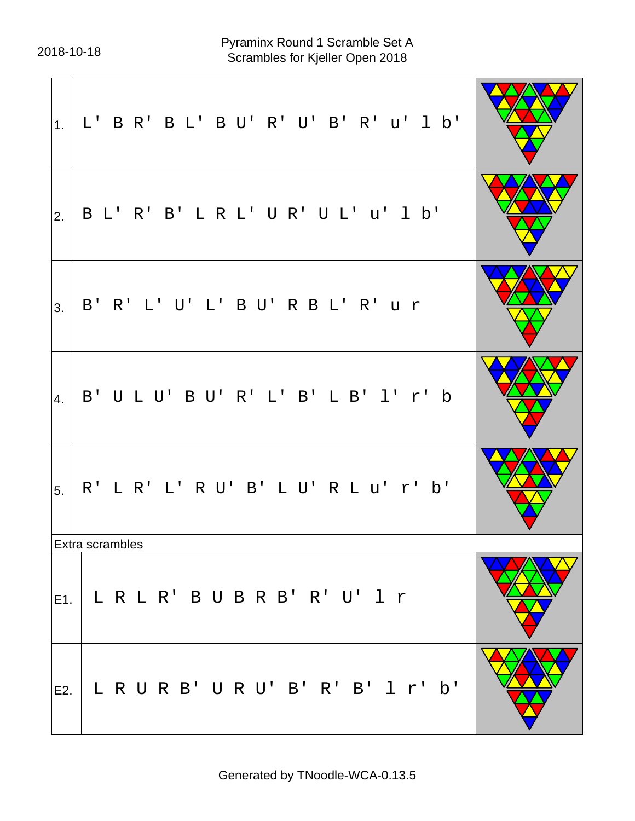| 1.  | L' B R' B L' B U' R' U' B' R' u' 1 b' |  |
|-----|---------------------------------------|--|
| 2.  | B L' R' B' L R L' U R' U L' u' 1 b'   |  |
| 3.  | B' R' L' U' L' B U' R B L' R' u r     |  |
| 4.  | B' U L U' B U' R' L' B' L B' 1' r' b  |  |
| 5   | R' L R' L' R U' B' L U' R L u' r' b'  |  |
|     | Extra scrambles                       |  |
| E1. | L R L R' B U B R B' R' U' 1 r         |  |
| E2. | LRURB'URU'B'R'B' 1 r' b'              |  |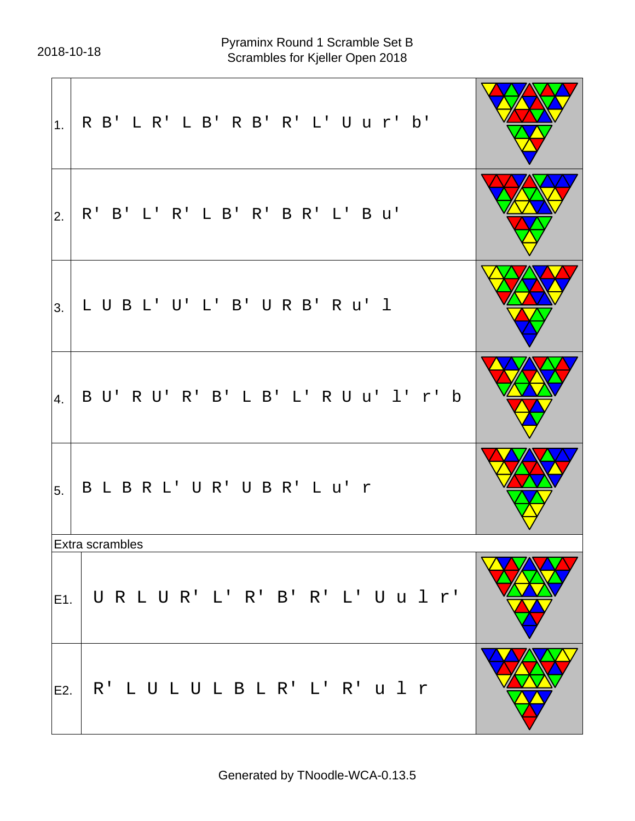|     | $ _{1.} $ R B' L R' L B' R B' R' L' U u r' b' |  |
|-----|-----------------------------------------------|--|
| 2.  | R' B' L' R' L B' R' B R' L' B u'              |  |
| 3.  | LUBL'U'L'B'URB'RU'I                           |  |
| 4.  | B U' R U' R' B' L B' L' R U u' l' r' b        |  |
| 5.  | B L B R L' U R' U B R' L u' r                 |  |
|     | Extra scrambles                               |  |
| E1. | URLUR'L'R'B'R'L'Uulr'                         |  |
| E2. | R'LULULBLR'L'R'ulr                            |  |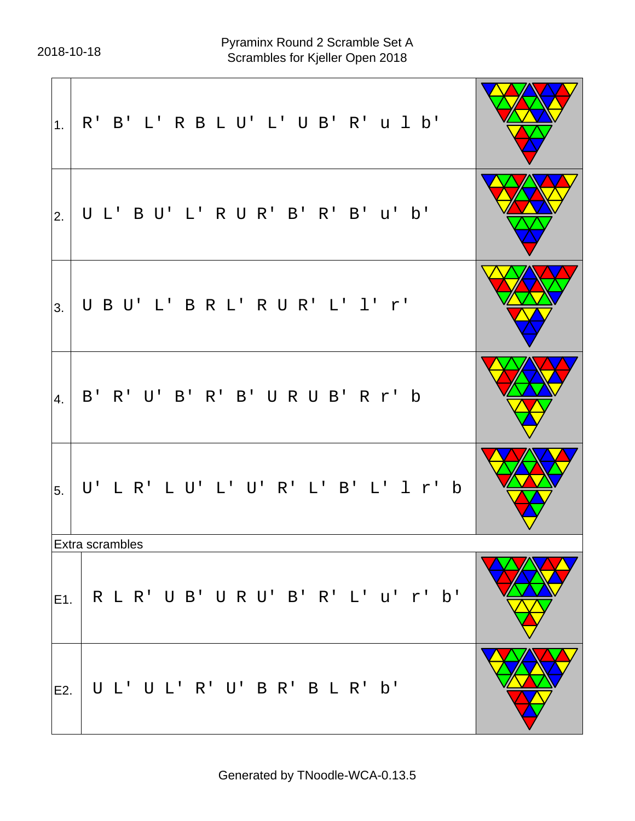| 1.  | R' B' L' R B L U' L' U B' R' u l b'  |  |
|-----|--------------------------------------|--|
| 2.  | UL'BU'L'RUR'B'R'B'u'b'               |  |
| 3.  | UBU'L'BRL'RUR'L'1'r'                 |  |
| 4.  | B' R' U' B' R' B' U R U B' R r' b    |  |
| 5.  | U'LR'LU'L'U'R'L'B'L'1r'b             |  |
|     | Extra scrambles                      |  |
| E1. | R L R' U B' U R U' B' R' L' u' r' b' |  |
| E2. | UL'UL'R'U'BR'BLR'b'                  |  |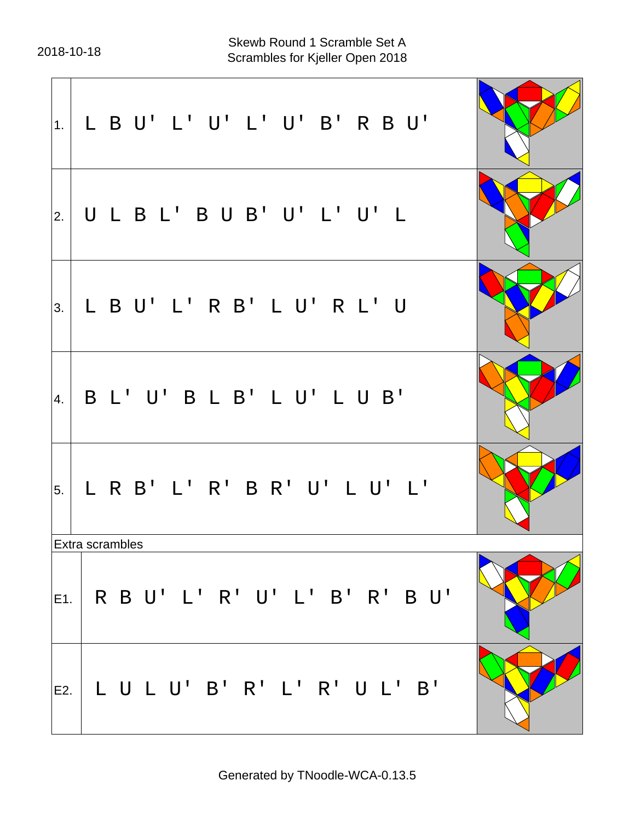| 1.  | L B U' L' U' L' U' B' R B U'      |  |
|-----|-----------------------------------|--|
| 2.  | ULBL'BUB'U'L'U'L                  |  |
| 3.  | L B U' L' R B' L U' R L' U        |  |
| 4.  | B L' U' B L B' L U' L U B'        |  |
| 5.  | L R B' L' R' B R' U' L U' L'      |  |
|     | <b>Extra scrambles</b>            |  |
|     | E1. R B U' L' R' U' L' B' R' B U' |  |
| E2. | LULU'B'R'L'R'UL'B'                |  |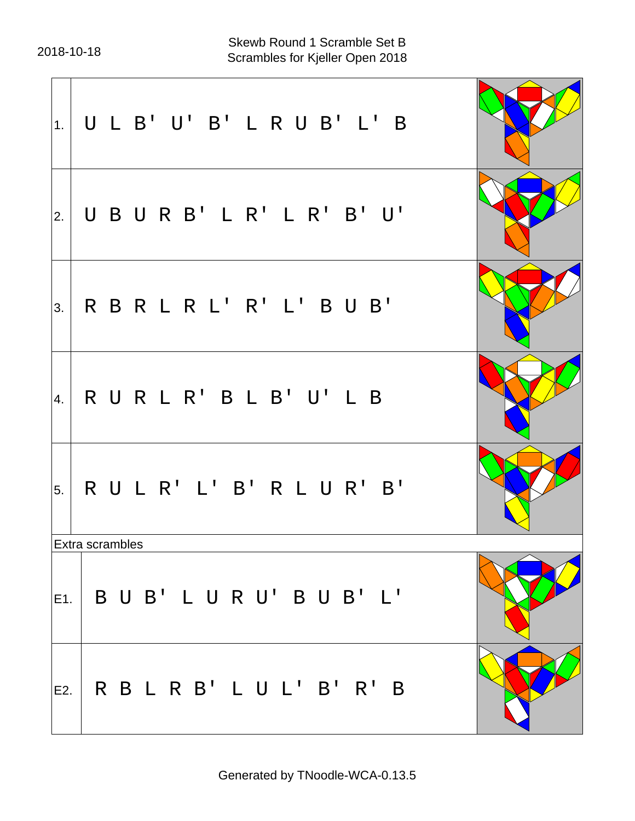$\overline{a}$  $\overline{\phantom{0}}$ 

| 1.               | ULB'U'B'LRUB'L'B                              |  |
|------------------|-----------------------------------------------|--|
| 2.               | UBURB'LR'LR'B'U'                              |  |
| 3.               | RBRLRL'R'L'BUB'                               |  |
| $\vert 4. \vert$ | RURLR'BLB'U'LB                                |  |
| 5.               | RULR'L'B'RLUR'B'                              |  |
|                  | Extra scrambles                               |  |
|                  | $\vert$ E1. $\vert$ B U B' L U R U' B U B' L' |  |
|                  | E2.   R B L R B ' L U L ' B ' R ' B           |  |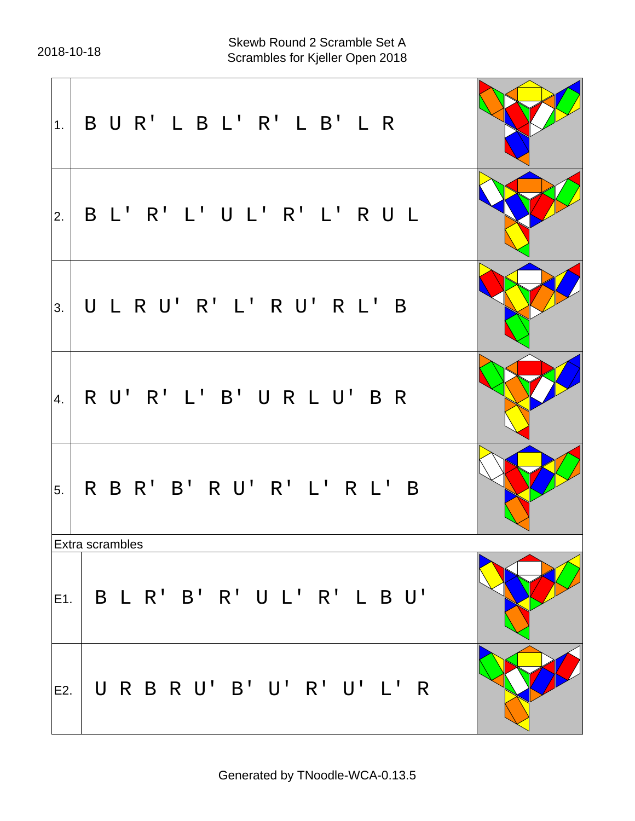| 1.  | BUR'LBL'R'LB'LR                                 |  |
|-----|-------------------------------------------------|--|
| 2.  | B L' R' L' U L' R' L' R U L                     |  |
| 3.  | ULRU'R'L'RU'RL'B                                |  |
| 4.  | RU'R'L'B'URLU'BR                                |  |
| 5.  | R B R' B' R U' R' L' R L' B                     |  |
|     | Extra scrambles                                 |  |
|     | $\vert$ E1. $\vert$ B L R' B' R' U L' R' L B U' |  |
| E2. | URBRU'B'U'R'U'L'R                               |  |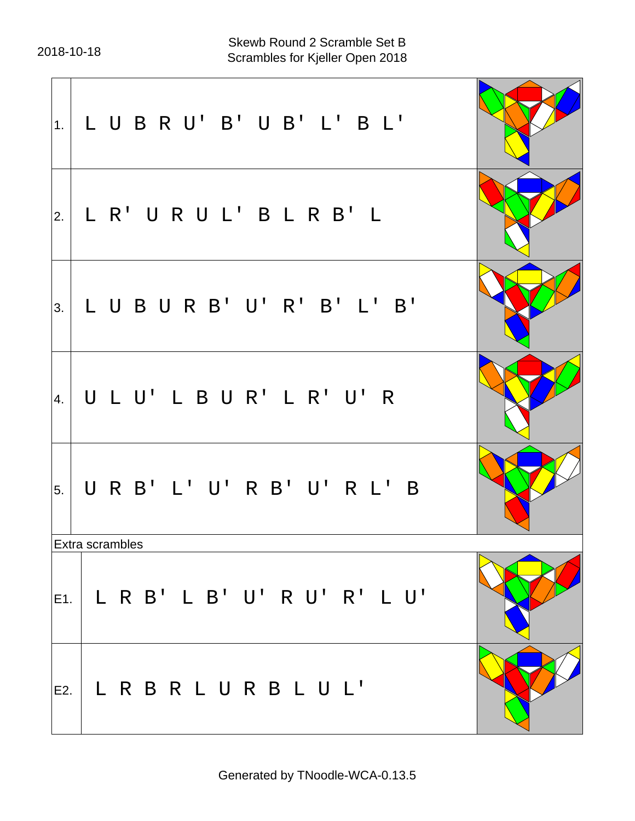| 1.  | LUBRU'B'UB'L'BL'                  |  |
|-----|-----------------------------------|--|
| 2.  | L R' U R U L' B L R B' L          |  |
| 3.  | LUBURB'U'R'B'L'B'                 |  |
| 4.  | U L U' L B U R' L R' U' R         |  |
| 5.  | URB'L'U'RB'U'RL'B                 |  |
|     | Extra scrambles                   |  |
|     | E1.   L R B' L B' U' R U' R' L U' |  |
| E2. | L R B R L U R B L U L'            |  |